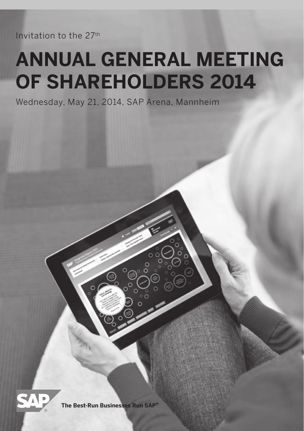Invitation to the 27th

# **AnnUAL GenerAL MeetinG Of SHAreHOLDerS 2014**

Wednesday, May 21, 2014, SAP Arena, Mannheim



**The Best-Run Businesses Run SAP®**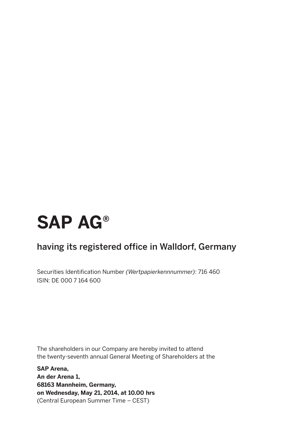# **SAP AG®**

### having its registered office in Walldorf, Germany

Securities Identification Number *(Wertpapierkennnummer)*: 716 460 ISIN: DE 000 7 164 600

The shareholders in our Company are hereby invited to attend the twenty-seventh annual General Meeting of Shareholders at the

**SAP Arena, An der Arena 1, 68163 Mannheim, Germany, on Wednesday, May 21, 2014, at 10.00 hrs**  (Central European Summer Time – CEST)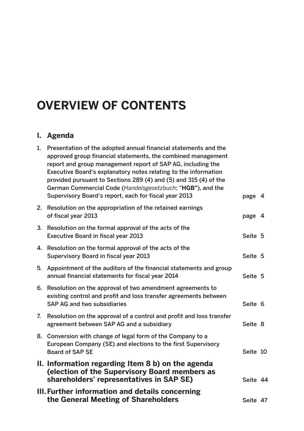# **Overview of Contents**

### **I. Agenda**

|    | III. Further information and details concerning<br>the General Meeting of Shareholders                                                                                                                                                                                                                                                                                                                                                                       | Seite 47 |  |
|----|--------------------------------------------------------------------------------------------------------------------------------------------------------------------------------------------------------------------------------------------------------------------------------------------------------------------------------------------------------------------------------------------------------------------------------------------------------------|----------|--|
|    | II. Information regarding Item 8 b) on the agenda<br>(election of the Supervisory Board members as<br>shareholders' representatives in SAP SE)                                                                                                                                                                                                                                                                                                               | Seite 44 |  |
|    | 8. Conversion with change of legal form of the Company to a<br>European Company (SE) and elections to the first Supervisory<br>Board of SAP SE                                                                                                                                                                                                                                                                                                               | Seite 10 |  |
| 7. | Resolution on the approval of a control and profit and loss transfer<br>agreement between SAP AG and a subsidiary                                                                                                                                                                                                                                                                                                                                            | Seite 8  |  |
| 6. | Resolution on the approval of two amendment agreements to<br>existing control and profit and loss transfer agreements between<br>SAP AG and two subsidiaries                                                                                                                                                                                                                                                                                                 | Seite 6  |  |
| 5. | Appointment of the auditors of the financial statements and group<br>annual financial statements for fiscal year 2014                                                                                                                                                                                                                                                                                                                                        | Seite 5  |  |
|    | 4. Resolution on the formal approval of the acts of the<br>Supervisory Board in fiscal year 2013                                                                                                                                                                                                                                                                                                                                                             | Seite 5  |  |
|    | 3. Resolution on the formal approval of the acts of the<br>Executive Board in fiscal year 2013                                                                                                                                                                                                                                                                                                                                                               | Seite 5  |  |
|    | 2. Resolution on the appropriation of the retained earnings<br>of fiscal year 2013                                                                                                                                                                                                                                                                                                                                                                           | page 4   |  |
| 1. | Presentation of the adopted annual financial statements and the<br>approved group financial statements, the combined management<br>report and group management report of SAP AG, including the<br>Executive Board's explanatory notes relating to the information<br>provided pursuant to Sections 289 (4) and (5) and 315 (4) of the<br>German Commercial Code (Handelsgesetzbuch; "HGB"), and the<br>Supervisory Board's report, each for fiscal year 2013 | page 4   |  |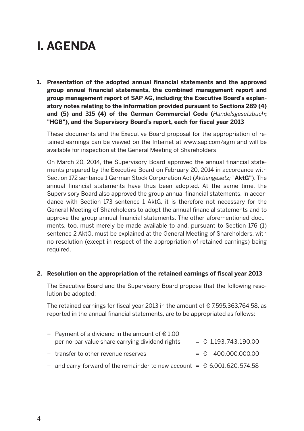# **I. AGENDA**

**1. Presentation of the adopted annual financial statements and the approved group annual financial statements, the combined management report and group management report of SAP AG, including the Executive Board's explanatory notes relating to the information provided pursuant to Sections 289 (4) and (5) and 315 (4) of the German Commercial Code (***Handelsgesetzbuch***; "HGB"), and the Supervisory Board's report, each for fiscal year 2013**

 These documents and the Executive Board proposal for the appropriation of retained earnings can be viewed on the Internet at www.sap.com/agm and will be available for inspection at the General Meeting of Shareholders

 On March 20, 2014, the Supervisory Board approved the annual financial statements prepared by the Executive Board on February 20, 2014 in accordance with Section 172 sentence 1 German Stock Corporation Act (*Aktiengesetz;* "**AktG"**). The annual financial statements have thus been adopted. At the same time, the Supervisory Board also approved the group annual financial statements. In accordance with Section 173 sentence 1 AktG, it is therefore not necessary for the General Meeting of Shareholders to adopt the annual financial statements and to approve the group annual financial statements. The other aforementioned documents, too, must merely be made available to and, pursuant to Section 176 (1) sentence 2 AktG, must be explained at the General Meeting of Shareholders, with no resolution (except in respect of the appropriation of retained earnings) being required.

#### **2. Resolution on the appropriation of the retained earnings of fiscal year 2013**

 The Executive Board and the Supervisory Board propose that the following resolution be adopted:

 The retained earnings for fiscal year 2013 in the amount of € 7,595,363,764.58, as reported in the annual financial statements, are to be appropriated as follows:

| - Payment of a dividend in the amount of $\epsilon$ 1.00                   |  |                      |
|----------------------------------------------------------------------------|--|----------------------|
| per no-par value share carrying dividend rights                            |  | $= 1.193.743.190.00$ |
| - transfer to other revenue reserves                                       |  | $=$ € 400.000.000.00 |
| - and carry-forward of the remainder to new account = $€$ 6,001,620,574.58 |  |                      |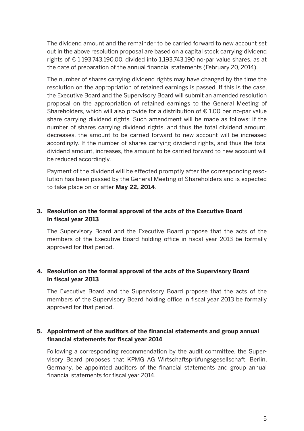The dividend amount and the remainder to be carried forward to new account set out in the above resolution proposal are based on a capital stock carrying dividend rights of  $\epsilon$  1.193.743.190.00, divided into 1.193.743.190 no-par value shares, as at the date of preparation of the annual financial statements (February 20, 2014).

 The number of shares carrying dividend rights may have changed by the time the resolution on the appropriation of retained earnings is passed. If this is the case, the Executive Board and the Supervisory Board will submit an amended resolution proposal on the appropriation of retained earnings to the General Meeting of Shareholders, which will also provide for a distribution of  $E$  1.00 per no-par value share carrying dividend rights. Such amendment will be made as follows: If the number of shares carrying dividend rights, and thus the total dividend amount, decreases, the amount to be carried forward to new account will be increased accordingly. If the number of shares carrying dividend rights, and thus the total dividend amount, increases, the amount to be carried forward to new account will be reduced accordingly.

 Payment of the dividend will be effected promptly after the corresponding resolution has been passed by the General Meeting of Shareholders and is expected to take place on or after **May 22, 2014**.

#### **3. Resolution on the formal approval of the acts of the Executive Board in fiscal year 2013**

 The Supervisory Board and the Executive Board propose that the acts of the members of the Executive Board holding office in fiscal year 2013 be formally approved for that period.

#### **4. Resolution on the formal approval of the acts of the Supervisory Board in fiscal year 2013**

 The Executive Board and the Supervisory Board propose that the acts of the members of the Supervisory Board holding office in fiscal year 2013 be formally approved for that period.

#### **5. Appointment of the auditors of the financial statements and group annual financial statements for fiscal year 2014**

 Following a corresponding recommendation by the audit committee, the Supervisory Board proposes that KPMG AG Wirtschaftsprüfungsgesellschaft, Berlin, Germany, be appointed auditors of the financial statements and group annual financial statements for fiscal year 2014.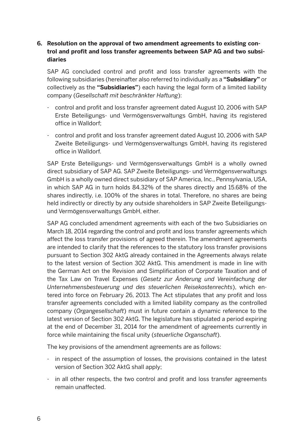#### **6. Resolution on the approval of two amendment agreements to existing control and profit and loss transfer agreements between SAP AG and two subsidiaries**

 SAP AG concluded control and profit and loss transfer agreements with the following subsidiaries (hereinafter also referred to individually as a **"Subsidiary"** or collectively as the **"Subsidiaries"**) each having the legal form of a limited liability company (*Gesellschaft mit beschränkter Haftung*):

- control and profit and loss transfer agreement dated August 10, 2006 with SAP Erste Beteiligungs- und Vermögensverwaltungs GmbH, having its registered office in Walldorf;
- control and profit and loss transfer agreement dated August 10, 2006 with SAP Zweite Beteiligungs- und Vermögensverwaltungs GmbH, having its registered office in Walldorf.

 SAP Erste Beteiligungs- und Vermögensverwaltungs GmbH is a wholly owned direct subsidiary of SAP AG. SAP Zweite Beteiligungs- und Vermögensverwaltungs GmbH is a wholly owned direct subsidiary of SAP America, Inc., Pennsylvania, USA, in which SAP AG in turn holds 84.32% of the shares directly and 15.68% of the shares indirectly, i.e. 100% of the shares in total. Therefore, no shares are being held indirectly or directly by any outside shareholders in SAP Zweite Beteiligungsund Vermögensverwaltungs GmbH, either.

 SAP AG concluded amendment agreements with each of the two Subsidiaries on March 18, 2014 regarding the control and profit and loss transfer agreements which affect the loss transfer provisions of agreed therein. The amendment agreements are intended to clarify that the references to the statutory loss transfer provisions pursuant to Section 302 AktG already contained in the Agreements always relate to the latest version of Section 302 AktG. This amendment is made in line with the German Act on the Revision and Simplification of Corporate Taxation and of the Tax Law on Travel Expenses (*Gesetz zur Änderung und Vereinfachung der Unternehmensbesteuerung und des steuerlichen Reisekostenrechts*), which entered into force on February 26, 2013. The Act stipulates that any profit and loss transfer agreements concluded with a limited liability company as the controlled company (*Organgesellschaft*) must in future contain a dynamic reference to the latest version of Section 302 AktG. The legislature has stipulated a period expiring at the end of December 31, 2014 for the amendment of agreements currently in force while maintaining the fiscal unity (*steuerliche Organschaft*).

The key provisions of the amendment agreements are as follows:

- in respect of the assumption of losses, the provisions contained in the latest version of Section 302 AktG shall apply;
- in all other respects, the two control and profit and loss transfer agreements remain unaffected.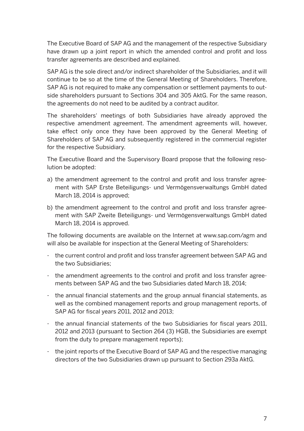The Executive Board of SAP AG and the management of the respective Subsidiary have drawn up a joint report in which the amended control and profit and loss transfer agreements are described and explained.

 SAP AG is the sole direct and/or indirect shareholder of the Subsidiaries, and it will continue to be so at the time of the General Meeting of Shareholders. Therefore, SAP AG is not required to make any compensation or settlement payments to outside shareholders pursuant to Sections 304 and 305 AktG. For the same reason, the agreements do not need to be audited by a contract auditor.

 The shareholders' meetings of both Subsidiaries have already approved the respective amendment agreement. The amendment agreements will, however, take effect only once they have been approved by the General Meeting of Shareholders of SAP AG and subsequently registered in the commercial register for the respective Subsidiary.

 The Executive Board and the Supervisory Board propose that the following resolution be adopted:

- a) the amendment agreement to the control and profit and loss transfer agreement with SAP Erste Beteiligungs- und Vermögensverwaltungs GmbH dated March 18, 2014 is approved;
- b) the amendment agreement to the control and profit and loss transfer agreement with SAP Zweite Beteiligungs- und Vermögensverwaltungs GmbH dated March 18, 2014 is approved.

 The following documents are available on the Internet at www.sap.com/agm and will also be available for inspection at the General Meeting of Shareholders:

- the current control and profit and loss transfer agreement between SAP AG and the two Subsidiaries;
- the amendment agreements to the control and profit and loss transfer agreements between SAP AG and the two Subsidiaries dated March 18, 2014;
- the annual financial statements and the group annual financial statements, as well as the combined management reports and group management reports, of SAP AG for fiscal years 2011, 2012 and 2013;
- the annual financial statements of the two Subsidiaries for fiscal years 2011, 2012 and 2013 (pursuant to Section 264 (3) HGB, the Subsidiaries are exempt from the duty to prepare management reports);
- the joint reports of the Executive Board of SAP AG and the respective managing directors of the two Subsidiaries drawn up pursuant to Section 293a AktG.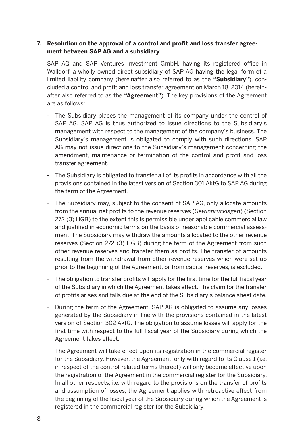#### **7. Resolution on the approval of a control and profit and loss transfer agreement between SAP AG and a subsidiary**

 SAP AG and SAP Ventures Investment GmbH, having its registered office in Walldorf, a wholly owned direct subsidiary of SAP AG having the legal form of a limited liability company (hereinafter also referred to as the **"Subsidiary"**), concluded a control and profit and loss transfer agreement on March 18, 2014 (hereinafter also referred to as the **"Agreement"**). The key provisions of the Agreement are as follows:

- The Subsidiary places the management of its company under the control of SAP AG. SAP AG is thus authorized to issue directions to the Subsidiary's management with respect to the management of the company's business. The Subsidiary's management is obligated to comply with such directions. SAP AG may not issue directions to the Subsidiary's management concerning the amendment, maintenance or termination of the control and profit and loss transfer agreement.
- The Subsidiary is obligated to transfer all of its profits in accordance with all the provisions contained in the latest version of Section 301 AktG to SAP AG during the term of the Agreement.
- The Subsidiary may, subject to the consent of SAP AG, only allocate amounts from the annual net profits to the revenue reserves (*Gewinnrücklagen*) (Section 272 (3) HGB) to the extent this is permissible under applicable commercial law and justified in economic terms on the basis of reasonable commercial assessment. The Subsidiary may withdraw the amounts allocated to the other revenue reserves (Section 272 (3) HGB) during the term of the Agreement from such other revenue reserves and transfer them as profits. The transfer of amounts resulting from the withdrawal from other revenue reserves which were set up prior to the beginning of the Agreement, or from capital reserves, is excluded.
- The obligation to transfer profits will apply for the first time for the full fiscal year of the Subsidiary in which the Agreement takes effect. The claim for the transfer of profits arises and falls due at the end of the Subsidiary's balance sheet date.
- During the term of the Agreement, SAP AG is obligated to assume any losses generated by the Subsidiary in line with the provisions contained in the latest version of Section 302 AktG. The obligation to assume losses will apply for the first time with respect to the full fiscal year of the Subsidiary during which the Agreement takes effect.
- The Agreement will take effect upon its registration in the commercial register for the Subsidiary. However, the Agreement, only with regard to its Clause 1 (i.e. in respect of the control-related terms thereof) will only become effective upon the registration of the Agreement in the commercial register for the Subsidiary. In all other respects, i.e. with regard to the provisions on the transfer of profits and assumption of losses, the Agreement applies with retroactive effect from the beginning of the fiscal year of the Subsidiary during which the Agreement is registered in the commercial register for the Subsidiary.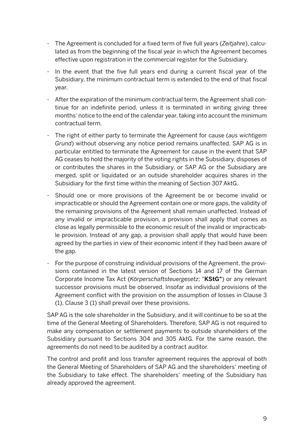- The Agreement is concluded for a fixed term of five full years (*Zeitjahre*), calculated as from the beginning of the fiscal year in which the Agreement becomes effective upon registration in the commercial register for the Subsidiary.
- In the event that the five full years end during a current fiscal year of the Subsidiary, the minimum contractual term is extended to the end of that fiscal year.
- After the expiration of the minimum contractual term, the Agreement shall continue for an indefinite period, unless it is terminated in writing giving three months' notice to the end of the calendar year, taking into account the minimum contractual term.
- The right of either party to terminate the Agreement for cause (*aus wichtigem Grund*) without observing any notice period remains unaffected. SAP AG is in particular entitled to terminate the Agreement for cause in the event that SAP AG ceases to hold the majority of the voting rights in the Subsidiary, disposes of or contributes the shares in the Subsidiary, or SAP AG or the Subsidiary are merged, split or liquidated or an outside shareholder acquires shares in the Subsidiary for the first time within the meaning of Section 307 AktG.
- Should one or more provisions of the Agreement be or become invalid or impracticable or should the Agreement contain one or more gaps, the validity of the remaining provisions of the Agreement shall remain unaffected. Instead of any invalid or impracticable provision, a provision shall apply that comes as close as legally permissible to the economic result of the invalid or impracticable provision. Instead of any gap, a provision shall apply that would have been agreed by the parties in view of their economic intent if they had been aware of the gap.
- For the purpose of construing individual provisions of the Agreement, the provisions contained in the latest version of Sections 14 and 17 of the German Corporate Income Tax Act (*Körperschaftsteuergesetz*; "**KStG"**) or any relevant successor provisions must be observed. Insofar as individual provisions of the Agreement conflict with the provision on the assumption of losses in Clause 3 (1), Clause 3 (1) shall prevail over these provisions.

 SAP AG is the sole shareholder in the Subsidiary, and it will continue to be so at the time of the General Meeting of Shareholders. Therefore, SAP AG is not required to make any compensation or settlement payments to outside shareholders of the Subsidiary pursuant to Sections 304 and 305 AktG. For the same reason, the agreements do not need to be audited by a contract auditor.

 The control and profit and loss transfer agreement requires the approval of both the General Meeting of Shareholders of SAP AG and the shareholders' meeting of the Subsidiary to take effect. The shareholders' meeting of the Subsidiary has already approved the agreement.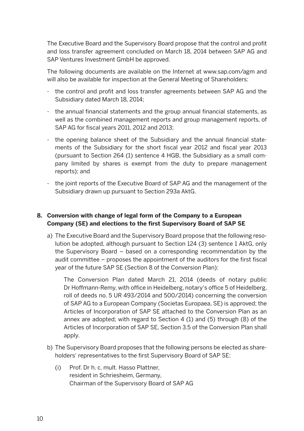The Executive Board and the Supervisory Board propose that the control and profit and loss transfer agreement concluded on March 18, 2014 between SAP AG and SAP Ventures Investment GmbH be approved.

 The following documents are available on the Internet at www.sap.com/agm and will also be available for inspection at the General Meeting of Shareholders:

- the control and profit and loss transfer agreements between SAP AG and the Subsidiary dated March 18, 2014;
- the annual financial statements and the group annual financial statements, as well as the combined management reports and group management reports, of SAP AG for fiscal years 2011, 2012 and 2013;
- the opening balance sheet of the Subsidiary and the annual financial statements of the Subsidiary for the short fiscal year 2012 and fiscal year 2013 (pursuant to Section 264 (1) sentence 4 HGB, the Subsidiary as a small company limited by shares is exempt from the duty to prepare management reports); and
- the joint reports of the Executive Board of SAP AG and the management of the Subsidiary drawn up pursuant to Section 293a AktG.

#### **8. Conversion with change of legal form of the Company to a European Company (SE) and elections to the first Supervisory Board of SAP SE**

a) The Executive Board and the Supervisory Board propose that the following resolution be adopted, although pursuant to Section 124 (3) sentence 1 AktG, only the Supervisory Board – based on a corresponding recommendation by the audit committee – proposes the appointment of the auditors for the first fiscal year of the future SAP SE (Section 8 of the Conversion Plan):

 The Conversion Plan dated March 21, 2014 (deeds of notary public Dr Hoffmann-Remy, with office in Heidelberg, notary's office 5 of Heidelberg, roll of deeds no. 5 UR 493/2014 and 500/2014) concerning the conversion of SAP AG to a European Company (Societas Europaea, SE) is approved; the Articles of Incorporation of SAP SE attached to the Conversion Plan as an annex are adopted; with regard to Section 4 (1) and (5) through (8) of the Articles of Incorporation of SAP SE, Section 3.5 of the Conversion Plan shall apply.

- b) The Supervisory Board proposes that the following persons be elected as shareholders' representatives to the first Supervisory Board of SAP SE:
	- (i) Prof. Dr h. c. mult. Hasso Plattner, resident in Schriesheim, Germany, Chairman of the Supervisory Board of SAP AG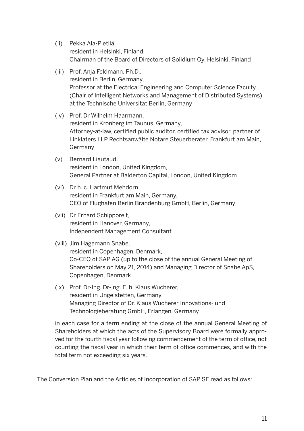- (ii) Pekka Ala-Pietilä, resident in Helsinki, Finland, Chairman of the Board of Directors of Solidium Oy, Helsinki, Finland
- (iii) Prof. Anja Feldmann, Ph.D., resident in Berlin, Germany, Professor at the Electrical Engineering and Computer Science Faculty (Chair of Intelligent Networks and Management of Distributed Systems) at the Technische Universität Berlin, Germany
- (iv) Prof. Dr Wilhelm Haarmann, resident in Kronberg im Taunus, Germany, Attorney-at-law, certified public auditor, certified tax advisor, partner of Linklaters LLP Rechtsanwälte Notare Steuerberater, Frankfurt am Main, Germany
- (v) Bernard Liautaud, resident in London, United Kingdom, General Partner at Balderton Capital, London, United Kingdom
- (vi) Dr h. c. Hartmut Mehdorn, resident in Frankfurt am Main, Germany, CEO of Flughafen Berlin Brandenburg GmbH, Berlin, Germany
- (vii) Dr Erhard Schipporeit, resident in Hanover, Germany, Independent Management Consultant

#### (viii) Jim Hagemann Snabe,

resident in Copenhagen, Denmark, Co-CEO of SAP AG (up to the close of the annual General Meeting of Shareholders on May 21, 2014) and Managing Director of Snabe ApS, Copenhagen, Denmark

 (ix) Prof. Dr-Ing. Dr-Ing. E. h. Klaus Wucherer, resident in Ungelstetten, Germany, Managing Director of Dr. Klaus Wucherer Innovations- und Technologieberatung GmbH, Erlangen, Germany

 in each case for a term ending at the close of the annual General Meeting of Shareholders at which the acts of the Supervisory Board were formally approved for the fourth fiscal year following commencement of the term of office, not counting the fiscal year in which their term of office commences, and with the total term not exceeding six years.

The Conversion Plan and the Articles of Incorporation of SAP SE read as follows: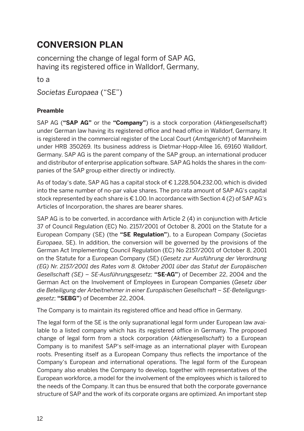### **CONVERSION PLAN**

concerning the change of legal form of SAP AG, having its registered office in Walldorf, Germany,

to a

*Societas Europaea* ("SE")

#### **Preamble**

SAP AG (**"SAP AG"** or the **"Company"**) is a stock corporation (*Aktiengesellschaft*) under German law having its registered office and head office in Walldorf, Germany. It is registered in the commercial register of the Local Court (*Amtsgericht*) of Mannheim under HRB 350269. Its business address is Dietmar-Hopp-Allee 16, 69160 Walldorf, Germany. SAP AG is the parent company of the SAP group, an international producer and distributor of enterprise application software. SAP AG holds the shares in the companies of the SAP group either directly or indirectly.

As of today's date, SAP AG has a capital stock of € 1,228,504,232.00, which is divided into the same number of no-par value shares. The pro rata amount of SAP AG's capital stock represented by each share is € 1.00. In accordance with Section 4 (2) of SAP AG's Articles of Incorporation, the shares are bearer shares.

SAP AG is to be converted, in accordance with Article 2 (4) in conjunction with Article 37 of Council Regulation (EC) No. 2157/2001 of October 8, 2001 on the Statute for a European Company (SE) (the **"SE Regulation"**), to a European Company (*Societas Europaea*, SE). In addition, the conversion will be governed by the provisions of the German Act Implementing Council Regulation (EC) No 2157/2001 of October 8, 2001 on the Statute for a European Company (SE) (*Gesetz zur Ausführung der Verordnung (EG) Nr. 2157/2001 des Rates vom 8. Oktober 2001 über das Statut der Europäischen Gesellschaft (SE) – SE-Ausführungsgesetz;* **"SE-AG"**) of December 22, 2004 and the German Act on the Involvement of Employees in European Companies (*Gesetz über die Beteiligung der Arbeitnehmer in einer Europäischen Gesellschaft – SE-Beteiligungsgesetz*; **"SEBG"**) of December 22, 2004.

The Company is to maintain its registered office and head office in Germany.

The legal form of the SE is the only supranational legal form under European law available to a listed company which has its registered office in Germany. The proposed change of legal form from a stock corporation (*Aktiengesellschaft*) to a European Company is to manifest SAP's self-image as an international player with European roots. Presenting itself as a European Company thus reflects the importance of the Company's European and international operations. The legal form of the European Company also enables the Company to develop, together with representatives of the European workforce, a model for the involvement of the employees which is tailored to the needs of the Company. It can thus be ensured that both the corporate governance structure of SAP and the work of its corporate organs are optimized. An important step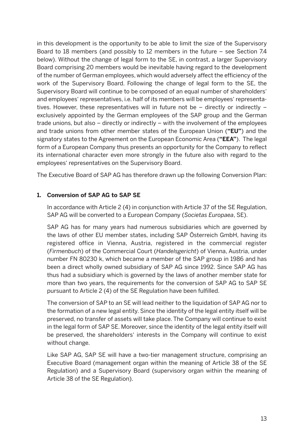in this development is the opportunity to be able to limit the size of the Supervisory Board to 18 members (and possibly to 12 members in the future – see Section 7.4 below). Without the change of legal form to the SE, in contrast, a larger Supervisory Board comprising 20 members would be inevitable having regard to the development of the number of German employees, which would adversely affect the efficiency of the work of the Supervisory Board. Following the change of legal form to the SE, the Supervisory Board will continue to be composed of an equal number of shareholders' and employees' representatives, i.e. half of its members will be employees' representatives. However, these representatives will in future not be – directly or indirectly – exclusively appointed by the German employees of the SAP group and the German trade unions, but also – directly or indirectly – with the involvement of the employees and trade unions from other member states of the European Union (**"EU"**) and the signatory states to the Agreement on the European Economic Area (**"EEA"**). The legal form of a European Company thus presents an opportunity for the Company to reflect its international character even more strongly in the future also with regard to the employees' representatives on the Supervisory Board.

The Executive Board of SAP AG has therefore drawn up the following Conversion Plan:

#### **1. Conversion of SAP AG to SAP SE**

 In accordance with Article 2 (4) in conjunction with Article 37 of the SE Regulation, SAP AG will be converted to a European Company (*Societas Europaea*, SE).

 SAP AG has for many years had numerous subsidiaries which are governed by the laws of other EU member states, including SAP Österreich GmbH, having its registered office in Vienna, Austria, registered in the commercial register (*Firmenbuch*) of the Commercial Court (*Handelsgericht*) of Vienna, Austria, under number FN 80230 k, which became a member of the SAP group in 1986 and has been a direct wholly owned subsidiary of SAP AG since 1992. Since SAP AG has thus had a subsidiary which is governed by the laws of another member state for more than two years, the requirements for the conversion of SAP AG to SAP SE pursuant to Article 2 (4) of the SE Regulation have been fulfilled.

 The conversion of SAP to an SE will lead neither to the liquidation of SAP AG nor to the formation of a new legal entity. Since the identity of the legal entity itself will be preserved, no transfer of assets will take place. The Company will continue to exist in the legal form of SAP SE. Moreover, since the identity of the legal entity itself will be preserved, the shareholders' interests in the Company will continue to exist without change.

 Like SAP AG, SAP SE will have a two-tier management structure, comprising an Executive Board (management organ within the meaning of Article 38 of the SE Regulation) and a Supervisory Board (supervisory organ within the meaning of Article 38 of the SE Regulation).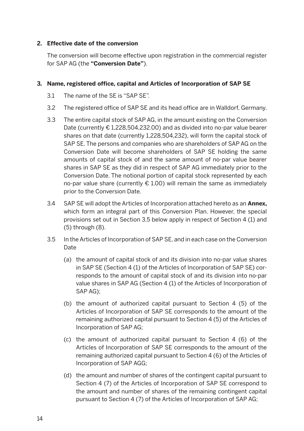#### **2. Effective date of the conversion**

 The conversion will become effective upon registration in the commercial register for SAP AG (the **"Conversion Date"**).

#### **3. Name, registered office, capital and Articles of Incorporation of SAP SE**

- 3.1 The name of the SE is "SAP SE".
- 3.2 The registered office of SAP SE and its head office are in Walldorf, Germany.
- 3.3 The entire capital stock of SAP AG, in the amount existing on the Conversion Date (currently € 1,228,504,232.00) and as divided into no-par value bearer shares on that date (currently 1,228,504,232), will form the capital stock of SAP SE. The persons and companies who are shareholders of SAP AG on the Conversion Date will become shareholders of SAP SE holding the same amounts of capital stock of and the same amount of no-par value bearer shares in SAP SE as they did in respect of SAP AG immediately prior to the Conversion Date. The notional portion of capital stock represented by each no-par value share (currently  $\epsilon$  1.00) will remain the same as immediately prior to the Conversion Date.
- 3.4 SAP SE will adopt the Articles of Incorporation attached hereto as an **Annex,**  which form an integral part of this Conversion Plan. However, the special provisions set out in Section 3.5 below apply in respect of Section 4 (1) and (5) through (8).
- 3.5 In the Articles of Incorporation of SAP SE, and in each case on the Conversion **Date** 
	- (a) the amount of capital stock of and its division into no-par value shares in SAP SE (Section 4 (1) of the Articles of Incorporation of SAP SE) corresponds to the amount of capital stock of and its division into no-par value shares in SAP AG (Section 4 (1) of the Articles of Incorporation of SAP AG);
	- (b) the amount of authorized capital pursuant to Section 4 (5) of the Articles of Incorporation of SAP SE corresponds to the amount of the remaining authorized capital pursuant to Section 4 (5) of the Articles of Incorporation of SAP AG;
	- (c) the amount of authorized capital pursuant to Section 4 (6) of the Articles of Incorporation of SAP SE corresponds to the amount of the remaining authorized capital pursuant to Section 4 (6) of the Articles of Incorporation of SAP AGG;
	- (d) the amount and number of shares of the contingent capital pursuant to Section 4 (7) of the Articles of Incorporation of SAP SE correspond to the amount and number of shares of the remaining contingent capital pursuant to Section 4 (7) of the Articles of Incorporation of SAP AG;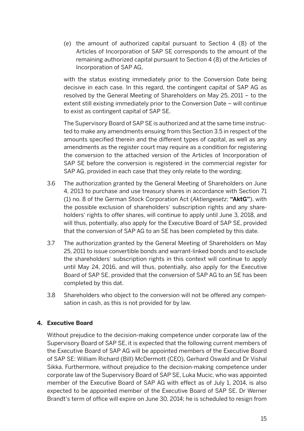(e) the amount of authorized capital pursuant to Section 4 (8) of the Articles of Incorporation of SAP SE corresponds to the amount of the remaining authorized capital pursuant to Section 4 (8) of the Articles of Incorporation of SAP AG,

with the status existing immediately prior to the Conversion Date being decisive in each case. In this regard, the contingent capital of SAP AG as resolved by the General Meeting of Shareholders on May 25, 2011 – to the extent still existing immediately prior to the Conversion Date – will continue to exist as contingent capital of SAP SE.

 The Supervisory Board of SAP SE is authorized and at the same time instructed to make any amendments ensuing from this Section 3.5 in respect of the amounts specified therein and the different types of capital, as well as any amendments as the register court may require as a condition for registering the conversion to the attached version of the Articles of Incorporation of SAP SE before the conversion is registered in the commercial register for SAP AG, provided in each case that they only relate to the wording.

- 3.6 The authorization granted by the General Meeting of Shareholders on June 4, 2013 to purchase and use treasury shares in accordance with Section 71 (1) no. 8 of the German Stock Corporation Act (*Aktiengesetz*; **"AktG"**), with the possible exclusion of shareholders' subscription rights and any shareholders' rights to offer shares, will continue to apply until June 3, 2018, and will thus, potentially, also apply for the Executive Board of SAP SE, provided that the conversion of SAP AG to an SE has been completed by this date.
- 3.7 The authorization granted by the General Meeting of Shareholders on May 25, 2011 to issue convertible bonds and warrant-linked bonds and to exclude the shareholders' subscription rights in this context will continue to apply until May 24, 2016, and will thus, potentially, also apply for the Executive Board of SAP SE, provided that the conversion of SAP AG to an SE has been completed by this dat.
- 3.8 Shareholders who object to the conversion will not be offered any compensation in cash, as this is not provided for by law.

#### **4. Executive Board**

 Without prejudice to the decision-making competence under corporate law of the Supervisory Board of SAP SE, it is expected that the following current members of the Executive Board of SAP AG will be appointed members of the Executive Board of SAP SE: William Richard (Bill) McDermott (CEO), Gerhard Oswald and Dr Vishal Sikka. Furthermore, without prejudice to the decision-making competence under corporate law of the Supervisory Board of SAP SE, Luka Mucic, who was appointed member of the Executive Board of SAP AG with effect as of July 1, 2014, is also expected to be appointed member of the Executive Board of SAP SE. Dr Werner Brandt's term of office will expire on June 30, 2014; he is scheduled to resign from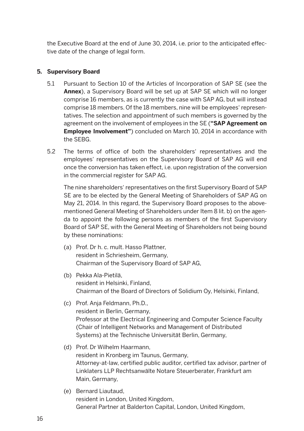the Executive Board at the end of June 30, 2014, i.e. prior to the anticipated effective date of the change of legal form.

#### **5. Supervisory Board**

- 5.1 Pursuant to Section 10 of the Articles of Incorporation of SAP SE (see the **Annex**), a Supervisory Board will be set up at SAP SE which will no longer comprise 16 members, as is currently the case with SAP AG, but will instead comprise 18 members. Of the 18 members, nine will be employees' representatives. The selection and appointment of such members is governed by the agreement on the involvement of employees in the SE (**"SAP Agreement on Employee Involvement"**) concluded on March 10, 2014 in accordance with the SEBG.
- 5.2 The terms of office of both the shareholders' representatives and the employees' representatives on the Supervisory Board of SAP AG will end once the conversion has taken effect, i.e. upon registration of the conversion in the commercial register for SAP AG.

 The nine shareholders' representatives on the first Supervisory Board of SAP SE are to be elected by the General Meeting of Shareholders of SAP AG on May 21, 2014. In this regard, the Supervisory Board proposes to the abovementioned General Meeting of Shareholders under Item 8 lit. b) on the agenda to appoint the following persons as members of the first Supervisory Board of SAP SE, with the General Meeting of Shareholders not being bound by these nominations:

- (a) Prof. Dr h. c. mult. Hasso Plattner, resident in Schriesheim, Germany, Chairman of the Supervisory Board of SAP AG,
- (b) Pekka Ala-Pietilä, resident in Helsinki, Finland, Chairman of the Board of Directors of Solidium Oy, Helsinki, Finland,
- (c) Prof. Anja Feldmann, Ph.D., resident in Berlin, Germany, Professor at the Electrical Engineering and Computer Science Faculty (Chair of Intelligent Networks and Management of Distributed Systems) at the Technische Universität Berlin, Germany,
- (d) Prof. Dr Wilhelm Haarmann, resident in Kronberg im Taunus, Germany, Attorney-at-law, certified public auditor, certified tax advisor, partner of Linklaters LLP Rechtsanwälte Notare Steuerberater, Frankfurt am Main, Germany,
- (e) Bernard Liautaud, resident in London, United Kingdom, General Partner at Balderton Capital, London, United Kingdom,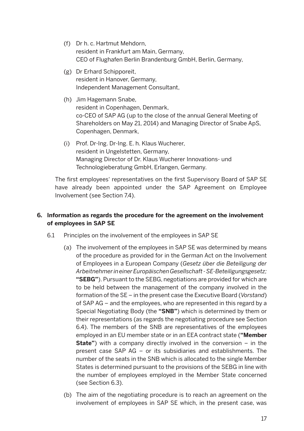- (f) Dr h. c. Hartmut Mehdorn, resident in Frankfurt am Main, Germany, CEO of Flughafen Berlin Brandenburg GmbH, Berlin, Germany,
- (g) Dr Erhard Schipporeit, resident in Hanover, Germany, Independent Management Consultant,
- (h) Jim Hagemann Snabe, resident in Copenhagen, Denmark, co-CEO of SAP AG (up to the close of the annual General Meeting of Shareholders on May 21, 2014) and Managing Director of Snabe ApS, Copenhagen, Denmark,
- (i) Prof. Dr-Ing. Dr-Ing. E. h. Klaus Wucherer, resident in Ungelstetten, Germany, Managing Director of Dr. Klaus Wucherer Innovations- und Technologieberatung GmbH, Erlangen, Germany.

 The first employees' representatives on the first Supervisory Board of SAP SE have already been appointed under the SAP Agreement on Employee Involvement (see Section 7.4).

#### **6. Information as regards the procedure for the agreement on the involvement of employees in SAP SE**

- 6.1 Principles on the involvement of the employees in SAP SE
	- (a) The involvement of the employees in SAP SE was determined by means of the procedure as provided for in the German Act on the Involvement of Employees in a European Company (*Gesetz über die Beteiligung der Arbeitnehmer in einer Europäischen Gesellschaft - SE-Beteiligungsgesetz;*  **"SEBG"**). Pursuant to the SEBG, negotiations are provided for which are to be held between the management of the company involved in the formation of the SE – in the present case the Executive Board (*Vorstand*) of SAP AG – and the employees, who are represented in this regard by a Special Negotiating Body (the **"SNB"**) which is determined by them or their representations (as regards the negotiating procedure see Section 6.4). The members of the SNB are representatives of the employees employed in an EU member state or in an EEA contract state (**"Member State"**) with a company directly involved in the conversion – in the present case SAP AG – or its subsidiaries and establishments. The number of the seats in the SNB which is allocated to the single Member States is determined pursuant to the provisions of the SEBG in line with the number of employees employed in the Member State concerned (see Section 6.3).
	- (b) The aim of the negotiating procedure is to reach an agreement on the involvement of employees in SAP SE which, in the present case, was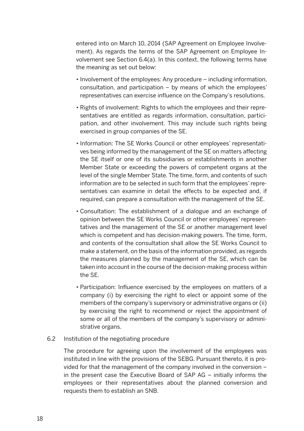entered into on March 10, 2014 (SAP Agreement on Employee Involvement). As regards the terms of the SAP Agreement on Employee Involvement see Section 6.4(a). In this context, the following terms have the meaning as set out below:

- Involvement of the employees: Any procedure including information, consultation, and participation – by means of which the employees' representatives can exercise influence on the Company's resolutions.
- Rights of involvement: Rights to which the employees and their representatives are entitled as regards information, consultation, participation, and other involvement. This may include such rights being exercised in group companies of the SE.
- Information: The SE Works Council or other employees' representatives being informed by the management of the SE on matters affecting the SE itself or one of its subsidiaries or establishments in another Member State or exceeding the powers of competent organs at the level of the single Member State. The time, form, and contents of such information are to be selected in such form that the employees' representatives can examine in detail the effects to be expected and, if required, can prepare a consultation with the management of the SE.
- • Consultation: The establishment of a dialogue and an exchange of opinion between the SE Works Council or other employees' representatives and the management of the SE or another management level which is competent and has decision-making powers. The time, form, and contents of the consultation shall allow the SE Works Council to make a statement, on the basis of the information provided, as regards the measures planned by the management of the SE, which can be taken into account in the course of the decision-making process within the SE.
- Participation: Influence exercised by the employees on matters of a company (i) by exercising the right to elect or appoint some of the members of the company's supervisory or administrative organs or (ii) by exercising the right to recommend or reject the appointment of some or all of the members of the company's supervisory or administrative organs.

#### 6.2 Institution of the negotiating procedure

 The procedure for agreeing upon the involvement of the employees was instituted in line with the provisions of the SEBG. Pursuant thereto, it is provided for that the management of the company involved in the conversion – in the present case the Executive Board of SAP AG – initially informs the employees or their representatives about the planned conversion and requests them to establish an SNB.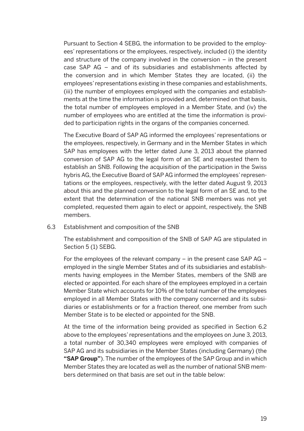Pursuant to Section 4 SEBG, the information to be provided to the employees' representations or the employees, respectively, included (i) the identity and structure of the company involved in the conversion – in the present case SAP AG – and of its subsidiaries and establishments affected by the conversion and in which Member States they are located, (ii) the employees' representations existing in these companies and establishments, (iii) the number of employees employed with the companies and establishments at the time the information is provided and, determined on that basis, the total number of employees employed in a Member State, and (iv) the number of employees who are entitled at the time the information is provided to participation rights in the organs of the companies concerned.

 The Executive Board of SAP AG informed the employees' representations or the employees, respectively, in Germany and in the Member States in which SAP has employees with the letter dated June 3, 2013 about the planned conversion of SAP AG to the legal form of an SE and requested them to establish an SNB. Following the acquisition of the participation in the Swiss hybris AG, the Executive Board of SAP AG informed the employees' representations or the employees, respectively, with the letter dated August 9, 2013 about this and the planned conversion to the legal form of an SE and, to the extent that the determination of the national SNB members was not yet completed, requested them again to elect or appoint, respectively, the SNB members.

#### 6.3 Establishment and composition of the SNB

 The establishment and composition of the SNB of SAP AG are stipulated in Section 5 (1) SEBG.

 For the employees of the relevant company – in the present case SAP AG – employed in the single Member States and of its subsidiaries and establishments having employees in the Member States, members of the SNB are elected or appointed. For each share of the employees employed in a certain Member State which accounts for 10% of the total number of the employees employed in all Member States with the company concerned and its subsidiaries or establishments or for a fraction thereof, one member from such Member State is to be elected or appointed for the SNB.

 At the time of the information being provided as specified in Section 6.2 above to the employees' representations and the employees on June 3, 2013, a total number of 30,340 employees were employed with companies of SAP AG and its subsidiaries in the Member States (including Germany) (the **"SAP Group"**). The number of the employees of the SAP Group and in which Member States they are located as well as the number of national SNB members determined on that basis are set out in the table below: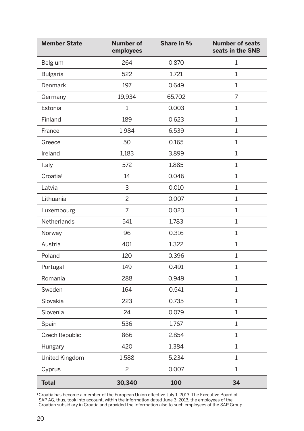| <b>Member State</b>  | <b>Number of</b><br>employees | Share in % | <b>Number of seats</b><br>seats in the SNB |
|----------------------|-------------------------------|------------|--------------------------------------------|
| Belgium              | 264                           | 0.870      | 1                                          |
| <b>Bulgaria</b>      | 522                           | 1.721      | 1                                          |
| Denmark              | 197                           | 0.649      | 1                                          |
| Germany              | 19,934                        | 65.702     | $\overline{7}$                             |
| Estonia              | 1                             | 0.003      | 1                                          |
| Finland              | 189                           | 0.623      | 1                                          |
| France               | 1,984                         | 6.539      | 1                                          |
| Greece               | 50                            | 0.165      | $\mathbf{1}$                               |
| Ireland              | 1,183                         | 3.899      | $\mathbf{1}$                               |
| Italy                | 572                           | 1.885      | 1                                          |
| Croatia <sup>1</sup> | 14                            | 0.046      | $\mathbf{1}$                               |
| Latvia               | 3                             | 0.010      | 1                                          |
| Lithuania            | 2                             | 0.007      | 1                                          |
| Luxembourg           | 7                             | 0.023      | 1                                          |
| Netherlands          | 541                           | 1.783      | $\mathbf{1}$                               |
| Norway               | 96                            | 0.316      | $\mathbf{1}$                               |
| Austria              | 401                           | 1.322      | 1                                          |
| Poland               | 120                           | 0.396      | $\mathbf{1}$                               |
| Portugal             | 149                           | 0.491      | $\mathbf{1}$                               |
| Romania              | 288                           | 0.949      | 1                                          |
| Sweden               | 164                           | 0.541      | $1\,$                                      |
| Slovakia             | 223                           | 0.735      | $\mathbf{1}$                               |
| Slovenia             | 24                            | 0.079      | $\mathbf{1}$                               |
| Spain                | 536                           | 1.767      | 1                                          |
| Czech Republic       | 866                           | 2.854      | $\mathbf{1}$                               |
| Hungary              | 420                           | 1.384      | $\mathbf{1}$                               |
| United Kingdom       | 1,588                         | 5.234      | $\mathbf{1}$                               |
| Cyprus               | $\overline{c}$                | 0.007      | $\mathbf{1}$                               |
| <b>Total</b>         | 30,340                        | 100        | 34                                         |

<sup>1</sup> Croatia has become a member of the European Union effective July 1, 2013. The Executive Board of SAP AG, thus, took into account, within the information dated June 3, 2013, the employees of the Croatian subsidiary in Croatia and provided the information also to such employees of the SAP Group.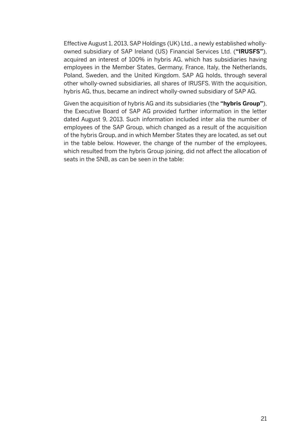Effective August 1, 2013, SAP Holdings (UK) Ltd., a newly established whollyowned subsidiary of SAP Ireland (US) Financial Services Ltd. (**"IRUSFS"**), acquired an interest of 100% in hybris AG, which has subsidiaries having employees in the Member States, Germany, France, Italy, the Netherlands, Poland, Sweden, and the United Kingdom. SAP AG holds, through several other wholly-owned subsidiaries, all shares of IRUSFS. With the acquisition, hybris AG, thus, became an indirect wholly-owned subsidiary of SAP AG.

 Given the acquisition of hybris AG and its subsidiaries (the **"hybris Group"**), the Executive Board of SAP AG provided further information in the letter dated August 9, 2013. Such information included inter alia the number of employees of the SAP Group, which changed as a result of the acquisition of the hybris Group, and in which Member States they are located, as set out in the table below. However, the change of the number of the employees, which resulted from the hybris Group joining, did not affect the allocation of seats in the SNB, as can be seen in the table: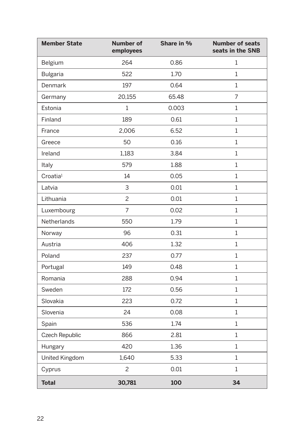| <b>Member State</b>   | <b>Number of</b><br>employees | Share in % | <b>Number of seats</b><br>seats in the SNB |
|-----------------------|-------------------------------|------------|--------------------------------------------|
| Belgium               | 264                           | 0.86       | 1                                          |
| <b>Bulgaria</b>       | 522                           | 1.70       | $\mathbf{1}$                               |
| Denmark               | 197                           | 0.64       | 1                                          |
| Germany               | 20,155                        | 65.48      | 7                                          |
| Estonia               | $\mathbf 1$                   | 0.003      | 1                                          |
| Finland               | 189                           | 0.61       | $\mathbf{1}$                               |
| France                | 2,006                         | 6.52       | $\mathbf{1}$                               |
| Greece                | 50                            | 0.16       | $\mathbf{1}$                               |
| Ireland               | 1,183                         | 3.84       | $\mathbf{1}$                               |
| Italy                 | 579                           | 1.88       | 1                                          |
| Croatia <sup>1</sup>  | 14                            | 0.05       | $\mathbf{1}$                               |
| Latvia                | 3                             | 0.01       | 1                                          |
| Lithuania             | $\overline{c}$                | 0.01       | $\mathbf{1}$                               |
| Luxembourg            | $\overline{7}$                | 0.02       | $\mathbf{1}$                               |
| <b>Netherlands</b>    | 550                           | 1.79       | 1                                          |
| Norway                | 96                            | 0.31       | $\mathbf{1}$                               |
| Austria               | 406                           | 1.32       | 1                                          |
| Poland                | 237                           | 0.77       | $\mathbf{1}$                               |
| Portugal              | 149                           | 0.48       | $\mathbf{1}$                               |
| Romania               | 288                           | 0.94       | $\mathbf{1}$                               |
| Sweden                | 172                           | 0.56       | $\mathbf{1}$                               |
| Slovakia              | 223                           | 0.72       | 1                                          |
| Slovenia              | 24                            | 0.08       | 1                                          |
| Spain                 | 536                           | 1.74       | $\mathbf{1}$                               |
| Czech Republic        | 866                           | 2.81       | 1                                          |
| Hungary               | 420                           | 1.36       | $\mathbf{1}$                               |
| <b>United Kingdom</b> | 1,640                         | 5.33       | 1                                          |
| Cyprus                | $\overline{c}$                | 0.01       | 1                                          |
| <b>Total</b>          | 30,781                        | 100        | 34                                         |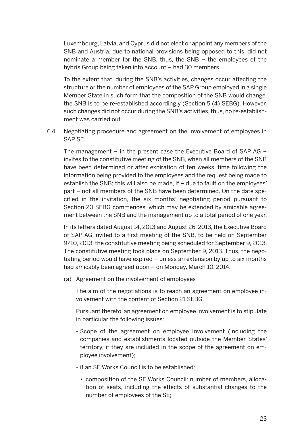Luxembourg, Latvia, and Cyprus did not elect or appoint any members of the SNB and Austria, due to national provisions being opposed to this, did not nominate a member for the SNB, thus, the SNB – the employees of the hybris Group being taken into account – had 30 members.

 To the extent that, during the SNB's activities, changes occur affecting the structure or the number of employees of the SAP Group employed in a single Member State in such form that the composition of the SNB would change, the SNB is to be re-established accordingly (Section 5 (4) SEBG). However, such changes did not occur during the SNB's activities, thus, no re-establishment was carried out.

6.4 Negotiating procedure and agreement on the involvement of employees in SAP SE

The management  $-$  in the present case the Executive Board of SAP AG  $$ invites to the constitutive meeting of the SNB, when all members of the SNB have been determined or after expiration of ten weeks' time following the information being provided to the employees and the request being made to establish the SNB; this will also be made, if – due to fault on the employees' part – not all members of the SNB have been determined. On the date specified in the invitation, the six months' negotiating period pursuant to Section 20 SEBG commences, which may be extended by amicable agreement between the SNB and the management up to a total period of one year.

 In its letters dated August 14, 2013 and August 26, 2013, the Executive Board of SAP AG invited to a first meeting of the SNB, to be held on September 9/10, 2013, the constitutive meeting being scheduled for September 9, 2013. The constitutive meeting took place on September 9, 2013. Thus, the negotiating period would have expired – unless an extension by up to six months had amicably been agreed upon – on Monday, March 10, 2014.

(a) Agreement on the involvement of employees

 The aim of the negotiations is to reach an agreement on employee involvement with the content of Section 21 SEBG.

 Pursuant thereto, an agreement on employee involvement is to stipulate in particular the following issues:

- Scope of the agreement on employee involvement (including the companies and establishments located outside the Member States' territory, if they are included in the scope of the agreement on employee involvement);
- if an SE Works Council is to be established:
	- composition of the SE Works Council: number of members, allocation of seats, including the effects of substantial changes to the number of employees of the SE;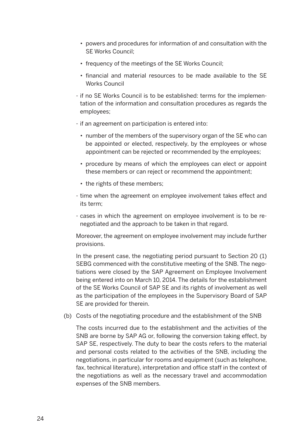- powers and procedures for information of and consultation with the SE Works Council;
- frequency of the meetings of the SE Works Council;
- financial and material resources to be made available to the SE Works Council
- if no SE Works Council is to be established: terms for the implementation of the information and consultation procedures as regards the employees;
- if an agreement on participation is entered into:
	- number of the members of the supervisory organ of the SE who can be appointed or elected, respectively, by the employees or whose appointment can be rejected or recommended by the employees;
	- procedure by means of which the employees can elect or appoint these members or can reject or recommend the appointment;
	- the rights of these members;
- time when the agreement on employee involvement takes effect and its term;
- cases in which the agreement on employee involvement is to be renegotiated and the approach to be taken in that regard.

 Moreover, the agreement on employee involvement may include further provisions.

 In the present case, the negotiating period pursuant to Section 20 (1) SEBG commenced with the constitutive meeting of the SNB. The negotiations were closed by the SAP Agreement on Employee Involvement being entered into on March 10, 2014. The details for the establishment of the SE Works Council of SAP SE and its rights of involvement as well as the participation of the employees in the Supervisory Board of SAP SE are provided for therein.

(b) Costs of the negotiating procedure and the establishment of the SNB

 The costs incurred due to the establishment and the activities of the SNB are borne by SAP AG or, following the conversion taking effect, by SAP SE, respectively. The duty to bear the costs refers to the material and personal costs related to the activities of the SNB, including the negotiations, in particular for rooms and equipment (such as telephone, fax, technical literature), interpretation and office staff in the context of the negotiations as well as the necessary travel and accommodation expenses of the SNB members.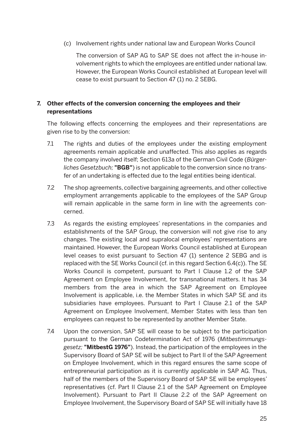(c) Involvement rights under national law and European Works Council

 The conversion of SAP AG to SAP SE does not affect the in-house involvement rights to which the employees are entitled under national law. However, the European Works Council established at European level will cease to exist pursuant to Section 47 (1) no. 2 SEBG.

#### **7. Other effects of the conversion concerning the employees and their representations**

 The following effects concerning the employees and their representations are given rise to by the conversion:

- 7.1 The rights and duties of the employees under the existing employment agreements remain applicable and unaffected. This also applies as regards the company involved itself; Section 613a of the German Civil Code (*Bürgerliches Gesetzbuch;* **"BGB"**) is not applicable to the conversion since no transfer of an undertaking is effected due to the legal entities being identical.
- 7.2 The shop agreements, collective bargaining agreements, and other collective employment arrangements applicable to the employees of the SAP Group will remain applicable in the same form in line with the agreements concerned.
- 7.3 As regards the existing employees' representations in the companies and establishments of the SAP Group, the conversion will not give rise to any changes. The existing local and supralocal employees' representations are maintained. However, the European Works Council established at European level ceases to exist pursuant to Section 47 (1) sentence 2 SEBG and is replaced with the SE Works Council (cf. in this regard Section 6.4(c)). The SE Works Council is competent, pursuant to Part I Clause 1.2 of the SAP Agreement on Employee Involvement, for transnational matters. It has 34 members from the area in which the SAP Agreement on Employee Involvement is applicable, i.e. the Member States in which SAP SE and its subsidiaries have employees. Pursuant to Part I Clause 2.1 of the SAP Agreement on Employee Involvement, Member States with less than ten employees can request to be represented by another Member State.
- 7.4 Upon the conversion, SAP SE will cease to be subject to the participation pursuant to the German Codetermination Act of 1976 (*Mitbestimmungsgesetz;* **"MitbestG 1976"**). Instead, the participation of the employees in the Supervisory Board of SAP SE will be subject to Part II of the SAP Agreement on Employee Involvement, which in this regard ensures the same scope of entrepreneurial participation as it is currently applicable in SAP AG. Thus, half of the members of the Supervisory Board of SAP SE will be employees' representatives (cf. Part II Clause 2.1 of the SAP Agreement on Employee Involvement). Pursuant to Part II Clause 2.2 of the SAP Agreement on Employee Involvement, the Supervisory Board of SAP SE will initially have 18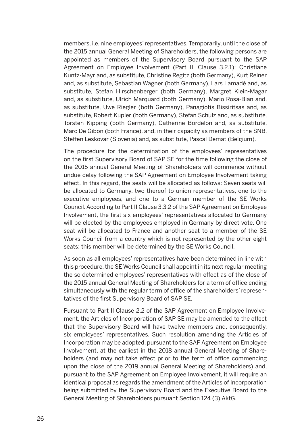members, i.e. nine employees' representatives. Temporarily, until the close of the 2015 annual General Meeting of Shareholders, the following persons are appointed as members of the Supervisory Board pursuant to the SAP Agreement on Employee Involvement (Part II, Clause 3.2.1): Christiane Kuntz-Mayr and, as substitute, Christine Regitz (both Germany), Kurt Reiner and, as substitute, Sebastian Wagner (both Germany), Lars Lamadé and, as substitute, Stefan Hirschenberger (both Germany), Margret Klein-Magar and, as substitute, Ulrich Marquard (both Germany), Mario Rosa-Bian and, as substitute, Uwe Riegler (both Germany), Panagiotis Bissiritsas and, as substitute, Robert Kupler (both Germany), Stefan Schulz and, as substitute, Torsten Kipping (both Germany), Catherine Bordelon and, as substitute, Marc De Gibon (both France), and, in their capacity as members of the SNB, Steffen Leskovar (Slovenia) and, as substitute, Pascal Demat (Belgium).

 The procedure for the determination of the employees' representatives on the first Supervisory Board of SAP SE for the time following the close of the 2015 annual General Meeting of Shareholders will commence without undue delay following the SAP Agreement on Employee Involvement taking effect. In this regard, the seats will be allocated as follows: Seven seats will be allocated to Germany, two thereof to union representatives, one to the executive employees, and one to a German member of the SE Works Council. According to Part II Clause 3.3.2 of the SAP Agreement on Employee Involvement, the first six employees' representatives allocated to Germany will be elected by the employees employed in Germany by direct vote. One seat will be allocated to France and another seat to a member of the SE Works Council from a country which is not represented by the other eight seats; this member will be determined by the SE Works Council.

 As soon as all employees' representatives have been determined in line with this procedure, the SE Works Council shall appoint in its next regular meeting the so determined employees' representatives with effect as of the close of the 2015 annual General Meeting of Shareholders for a term of office ending simultaneously with the regular term of office of the shareholders' representatives of the first Supervisory Board of SAP SE.

 Pursuant to Part II Clause 2.2 of the SAP Agreement on Employee Involvement, the Articles of Incorporation of SAP SE may be amended to the effect that the Supervisory Board will have twelve members and, consequently, six employees' representatives. Such resolution amending the Articles of Incorporation may be adopted, pursuant to the SAP Agreement on Employee Involvement, at the earliest in the 2018 annual General Meeting of Shareholders (and may not take effect prior to the term of office commencing upon the close of the 2019 annual General Meeting of Shareholders) and, pursuant to the SAP Agreement on Employee Involvement, it will require an identical proposal as regards the amendment of the Articles of Incorporation being submitted by the Supervisory Board and the Executive Board to the General Meeting of Shareholders pursuant Section 124 (3) AktG.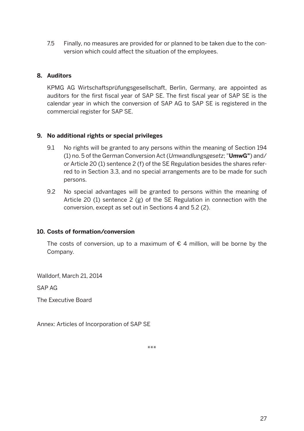7.5 Finally, no measures are provided for or planned to be taken due to the conversion which could affect the situation of the employees.

#### **8. Auditors**

 KPMG AG Wirtschaftsprüfungsgesellschaft, Berlin, Germany, are appointed as auditors for the first fiscal year of SAP SE. The first fiscal year of SAP SE is the calendar year in which the conversion of SAP AG to SAP SE is registered in the commercial register for SAP SE.

#### **9. No additional rights or special privileges**

- 9.1 No rights will be granted to any persons within the meaning of Section 194 (1) no. 5 of the German Conversion Act (*Umwandlungsgesetz*; "**UmwG"**) and/ or Article 20 (1) sentence 2 (f) of the SE Regulation besides the shares referred to in Section 3.3, and no special arrangements are to be made for such persons.
- 9.2 No special advantages will be granted to persons within the meaning of Article 20 (1) sentence 2 (g) of the SE Regulation in connection with the conversion, except as set out in Sections 4 and 5.2 (2).

#### **10. Costs of formation/conversion**

The costs of conversion, up to a maximum of  $\epsilon$  4 million, will be borne by the Company.

Walldorf, March 21, 2014

SAP AG

The Executive Board

Annex: Articles of Incorporation of SAP SE

\*\*\*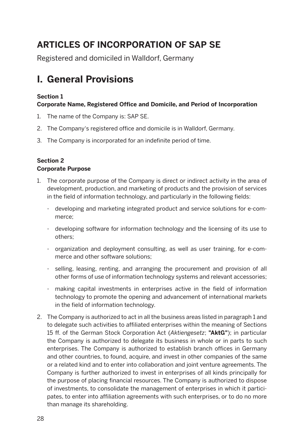### **Articles of Incorporation of SAP SE**

Registered and domiciled in Walldorf, Germany

### **I. General Provisions**

#### **Section 1**

#### **Corporate Name, Registered Office and Domicile, and Period of Incorporation**

- 1. The name of the Company is: SAP SE.
- 2. The Company's registered office and domicile is in Walldorf, Germany.
- 3. The Company is incorporated for an indefinite period of time.

#### **Section 2 Corporate Purpose**

- 1. The corporate purpose of the Company is direct or indirect activity in the area of development, production, and marketing of products and the provision of services in the field of information technology, and particularly in the following fields:
	- developing and marketing integrated product and service solutions for e-commerce;
	- developing software for information technology and the licensing of its use to others;
	- organization and deployment consulting, as well as user training, for e-commerce and other software solutions;
	- selling, leasing, renting, and arranging the procurement and provision of all other forms of use of information technology systems and relevant accessories;
	- making capital investments in enterprises active in the field of information technology to promote the opening and advancement of international markets in the field of information technology.
- 2. The Company is authorized to act in all the business areas listed in paragraph 1 and to delegate such activities to affiliated enterprises within the meaning of Sections 15 ff. of the German Stock Corporation Act (*Aktiengesetz*; **"AktG"**); in particular the Company is authorized to delegate its business in whole or in parts to such enterprises. The Company is authorized to establish branch offices in Germany and other countries, to found, acquire, and invest in other companies of the same or a related kind and to enter into collaboration and joint venture agreements. The Company is further authorized to invest in enterprises of all kinds principally for the purpose of placing financial resources. The Company is authorized to dispose of investments, to consolidate the management of enterprises in which it participates, to enter into affiliation agreements with such enterprises, or to do no more than manage its shareholding.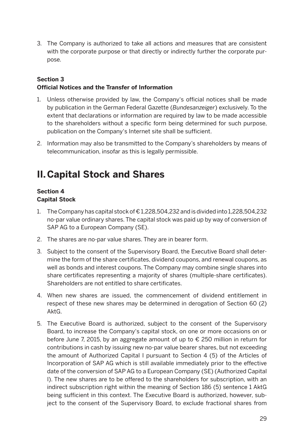3. The Company is authorized to take all actions and measures that are consistent with the corporate purpose or that directly or indirectly further the corporate purpose.

#### **Section 3 Official Notices and the Transfer of Information**

- 1. Unless otherwise provided by law, the Company's official notices shall be made by publication in the German Federal Gazette (*Bundesanzeiger*) exclusively. To the extent that declarations or information are required by law to be made accessible to the shareholders without a specific form being determined for such purpose, publication on the Company's Internet site shall be sufficient.
- 2. Information may also be transmitted to the Company's shareholders by means of telecommunication, insofar as this is legally permissible.

### **II.Capital Stock and Shares**

#### **Section 4 Capital Stock**

- 1. The Company has capital stock of € 1,228,504,232 and is divided into 1,228,504,232 no-par value ordinary shares. The capital stock was paid up by way of conversion of SAP AG to a European Company (SE).
- 2. The shares are no-par value shares. They are in bearer form.
- 3. Subject to the consent of the Supervisory Board, the Executive Board shall determine the form of the share certificates, dividend coupons, and renewal coupons, as well as bonds and interest coupons. The Company may combine single shares into share certificates representing a majority of shares (multiple-share certificates). Shareholders are not entitled to share certificates.
- 4. When new shares are issued, the commencement of dividend entitlement in respect of these new shares may be determined in derogation of Section 60 (2) AktG.
- 5. The Executive Board is authorized, subject to the consent of the Supervisory Board, to increase the Company's capital stock, on one or more occasions on or before June 7, 2015, by an aggregate amount of up to € 250 million in return for contributions in cash by issuing new no-par value bearer shares, but not exceeding the amount of Authorized Capital I pursuant to Section 4 (5) of the Articles of Incorporation of SAP AG which is still available immediately prior to the effective date of the conversion of SAP AG to a European Company (SE) (Authorized Capital I). The new shares are to be offered to the shareholders for subscription, with an indirect subscription right within the meaning of Section 186 (5) sentence 1 AktG being sufficient in this context. The Executive Board is authorized, however, subject to the consent of the Supervisory Board, to exclude fractional shares from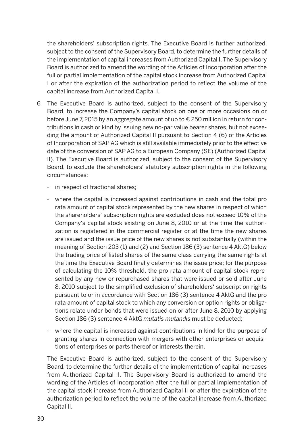the shareholders' subscription rights. The Executive Board is further authorized, subject to the consent of the Supervisory Board, to determine the further details of the implementation of capital increases from Authorized Capital I. The Supervisory Board is authorized to amend the wording of the Articles of Incorporation after the full or partial implementation of the capital stock increase from Authorized Capital I or after the expiration of the authorization period to reflect the volume of the capital increase from Authorized Capital I.

- 6. The Executive Board is authorized, subject to the consent of the Supervisory Board, to increase the Company's capital stock on one or more occasions on or before June 7, 2015 by an aggregate amount of up to € 250 million in return for contributions in cash or kind by issuing new no-par value bearer shares, but not exceeding the amount of Authorized Capital II pursuant to Section 4 (6) of the Articles of Incorporation of SAP AG which is still available immediately prior to the effective date of the conversion of SAP AG to a European Company (SE) (Authorized Capital II). The Executive Board is authorized, subject to the consent of the Supervisory Board, to exclude the shareholders' statutory subscription rights in the following circumstances:
	- in respect of fractional shares;
	- where the capital is increased against contributions in cash and the total pro rata amount of capital stock represented by the new shares in respect of which the shareholders' subscription rights are excluded does not exceed 10% of the Company's capital stock existing on June 8, 2010 or at the time the authorization is registered in the commercial register or at the time the new shares are issued and the issue price of the new shares is not substantially (within the meaning of Section 203 (1) and (2) and Section 186 (3) sentence 4 AktG) below the trading price of listed shares of the same class carrying the same rights at the time the Executive Board finally determines the issue price; for the purpose of calculating the 10% threshold, the pro rata amount of capital stock represented by any new or repurchased shares that were issued or sold after June 8, 2010 subject to the simplified exclusion of shareholders' subscription rights pursuant to or in accordance with Section 186 (3) sentence 4 AktG and the pro rata amount of capital stock to which any conversion or option rights or obligations relate under bonds that were issued on or after June 8, 2010 by applying Section 186 (3) sentence 4 AktG *mutatis mutandis* must be deducted;
	- where the capital is increased against contributions in kind for the purpose of granting shares in connection with mergers with other enterprises or acquisitions of enterprises or parts thereof or interests therein.

 The Executive Board is authorized, subject to the consent of the Supervisory Board, to determine the further details of the implementation of capital increases from Authorized Capital II. The Supervisory Board is authorized to amend the wording of the Articles of Incorporation after the full or partial implementation of the capital stock increase from Authorized Capital II or after the expiration of the authorization period to reflect the volume of the capital increase from Authorized Capital II.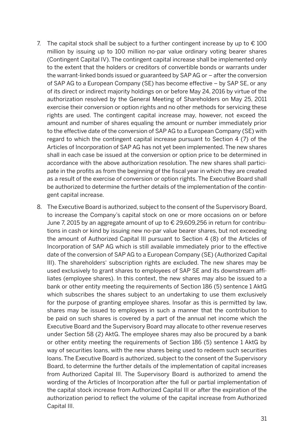- 7. The capital stock shall be subject to a further contingent increase by up to  $\epsilon$  100 million by issuing up to 100 million no-par value ordinary voting bearer shares (Contingent Capital IV). The contingent capital increase shall be implemented only to the extent that the holders or creditors of convertible bonds or warrants under the warrant-linked bonds issued or guaranteed by SAP AG or – after the conversion of SAP AG to a European Company (SE) has become effective – by SAP SE, or any of its direct or indirect majority holdings on or before May 24, 2016 by virtue of the authorization resolved by the General Meeting of Shareholders on May 25, 2011 exercise their conversion or option rights and no other methods for servicing these rights are used. The contingent capital increase may, however, not exceed the amount and number of shares equaling the amount or number immediately prior to the effective date of the conversion of SAP AG to a European Company (SE) with regard to which the contingent capital increase pursuant to Section 4 (7) of the Articles of Incorporation of SAP AG has not yet been implemented. The new shares shall in each case be issued at the conversion or option price to be determined in accordance with the above authorization resolution. The new shares shall participate in the profits as from the beginning of the fiscal year in which they are created as a result of the exercise of conversion or option rights. The Executive Board shall be authorized to determine the further details of the implementation of the contingent capital increase.
- 8. The Executive Board is authorized, subject to the consent of the Supervisory Board, to increase the Company's capital stock on one or more occasions on or before June 7, 2015 by an aggregate amount of up to € 29,609,256 in return for contributions in cash or kind by issuing new no-par value bearer shares, but not exceeding the amount of Authorized Capital III pursuant to Section 4 (8) of the Articles of Incorporation of SAP AG which is still available immediately prior to the effective date of the conversion of SAP AG to a European Company (SE) (Authorized Capital III). The shareholders' subscription rights are excluded. The new shares may be used exclusively to grant shares to employees of SAP SE and its downstream affiliates (employee shares). In this context, the new shares may also be issued to a bank or other entity meeting the requirements of Section 186 (5) sentence 1 AktG which subscribes the shares subject to an undertaking to use them exclusively for the purpose of granting employee shares. Insofar as this is permitted by law, shares may be issued to employees in such a manner that the contribution to be paid on such shares is covered by a part of the annual net income which the Executive Board and the Supervisory Board may allocate to other revenue reserves under Section 58 (2) AktG. The employee shares may also be procured by a bank or other entity meeting the requirements of Section 186 (5) sentence 1 AktG by way of securities loans, with the new shares being used to redeem such securities loans. The Executive Board is authorized, subject to the consent of the Supervisory Board, to determine the further details of the implementation of capital increases from Authorized Capital III. The Supervisory Board is authorized to amend the wording of the Articles of Incorporation after the full or partial implementation of the capital stock increase from Authorized Capital III or after the expiration of the authorization period to reflect the volume of the capital increase from Authorized Capital III.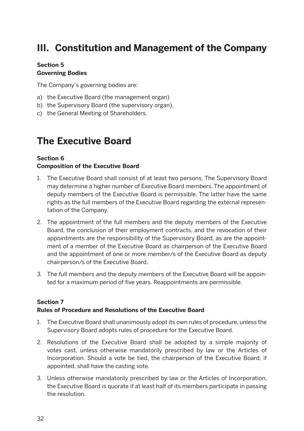### **III. Constitution and Management of the Company**

#### **Section 5 Governing Bodies**

The Company's governing bodies are:

- a) the Executive Board (the management organ)
- b) the Supervisory Board (the supervisory organ),
- c) the General Meeting of Shareholders.

### **The Executive Board**

#### **Section 6**

#### **Composition of the Executive Board**

- 1. The Executive Board shall consist of at least two persons. The Supervisory Board may determine a higher number of Executive Board members. The appointment of deputy members of the Executive Board is permissible. The latter have the same rights as the full members of the Executive Board regarding the external representation of the Company.
- 2. The appointment of the full members and the deputy members of the Executive Board, the conclusion of their employment contracts, and the revocation of their appointments are the responsibility of the Supervisory Board, as are the appointment of a member of the Executive Board as chairperson of the Executive Board and the appointment of one or more member/s of the Executive Board as deputy chairperson/s of the Executive Board.
- 3. The full members and the deputy members of the Executive Board will be appointed for a maximum period of five years. Reappointments are permissible.

#### **Section 7 Rules of Procedure and Resolutions of the Executive Board**

- 1. The Executive Board shall unanimously adopt its own rules of procedure, unless the Supervisory Board adopts rules of procedure for the Executive Board.
- 2. Resolutions of the Executive Board shall be adopted by a simple majority of votes cast, unless otherwise mandatorily prescribed by law or the Articles of Incorporation. Should a vote be tied, the chairperson of the Executive Board, if appointed, shall have the casting vote.
- 3. Unless otherwise mandatorily prescribed by law or the Articles of Incorporation, the Executive Board is quorate if at least half of its members participate in passing the resolution.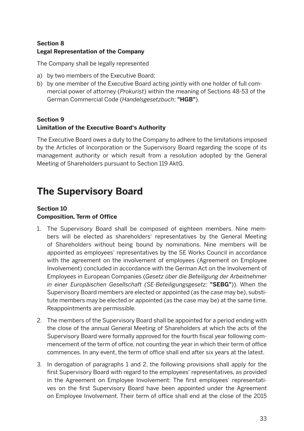#### **Section 8 Legal Representation of the Company**

The Company shall be legally represented

- a) by two members of the Executive Board;
- b) by one member of the Executive Board acting jointly with one holder of full commercial power of attorney (*Prokurist*) within the meaning of Sections 48-53 of the German Commercial Code (*Handelsgesetzbuch*; **"HGB"**).

#### **Section 9 Limitation of the Executive Board's Authority**

The Executive Board owes a duty to the Company to adhere to the limitations imposed by the Articles of Incorporation or the Supervisory Board regarding the scope of its management authority or which result from a resolution adopted by the General Meeting of Shareholders pursuant to Section 119 AktG.

### **The Supervisory Board**

#### **Section 10 Composition, Term of Office**

- 1. The Supervisory Board shall be composed of eighteen members. Nine members will be elected as shareholders' representatives by the General Meeting of Shareholders without being bound by nominations. Nine members will be appointed as employees' representatives by the SE Works Council in accordance with the agreement on the involvement of employees (Agreement on Employee Involvement) concluded in accordance with the German Act on the Involvement of Employees in European Companies (*Gesetz über die Beteiligung der Arbeitnehmer in einer Europäischen Gesellschaft (SE-Beteiligungsgesetz;* **"SEBG"**)). When the Supervisory Board members are elected or appointed (as the case may be), substitute members may be elected or appointed (as the case may be) at the same time. Reappointments are permissible.
- 2. The members of the Supervisory Board shall be appointed for a period ending with the close of the annual General Meeting of Shareholders at which the acts of the Supervisory Board were formally approved for the fourth fiscal year following commencement of the term of office, not counting the year in which their term of office commences. In any event, the term of office shall end after six years at the latest.
- 3. In derogation of paragraphs 1 and 2, the following provisions shall apply for the first Supervisory Board with regard to the employees' representatives, as provided in the Agreement on Employee Involvement: The first employees' representatives on the first Supervisory Board have been appointed under the Agreement on Employee Involvement. Their term of office shall end at the close of the 2015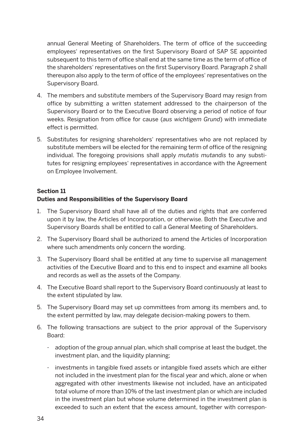annual General Meeting of Shareholders. The term of office of the succeeding employees' representatives on the first Supervisory Board of SAP SE appointed subsequent to this term of office shall end at the same time as the term of office of the shareholders' representatives on the first Supervisory Board. Paragraph 2 shall thereupon also apply to the term of office of the employees' representatives on the Supervisory Board.

- 4. The members and substitute members of the Supervisory Board may resign from office by submitting a written statement addressed to the chairperson of the Supervisory Board or to the Executive Board observing a period of notice of four weeks. Resignation from office for cause (*aus wichtigem Grund*) with immediate effect is permitted.
- 5. Substitutes for resigning shareholders' representatives who are not replaced by substitute members will be elected for the remaining term of office of the resigning individual. The foregoing provisions shall apply *mutatis mutandis* to any substitutes for resigning employees' representatives in accordance with the Agreement on Employee Involvement.

#### **Section 11**

#### **Duties and Responsibilities of the Supervisory Board**

- 1. The Supervisory Board shall have all of the duties and rights that are conferred upon it by law, the Articles of Incorporation, or otherwise. Both the Executive and Supervisory Boards shall be entitled to call a General Meeting of Shareholders.
- 2. The Supervisory Board shall be authorized to amend the Articles of Incorporation where such amendments only concern the wording.
- 3. The Supervisory Board shall be entitled at any time to supervise all management activities of the Executive Board and to this end to inspect and examine all books and records as well as the assets of the Company.
- 4. The Executive Board shall report to the Supervisory Board continuously at least to the extent stipulated by law.
- 5. The Supervisory Board may set up committees from among its members and, to the extent permitted by law, may delegate decision-making powers to them.
- 6. The following transactions are subject to the prior approval of the Supervisory Board:
	- adoption of the group annual plan, which shall comprise at least the budget, the investment plan, and the liquidity planning;
	- investments in tangible fixed assets or intangible fixed assets which are either not included in the investment plan for the fiscal year and which, alone or when aggregated with other investments likewise not included, have an anticipated total volume of more than 10% of the last investment plan or which are included in the investment plan but whose volume determined in the investment plan is exceeded to such an extent that the excess amount, together with correspon-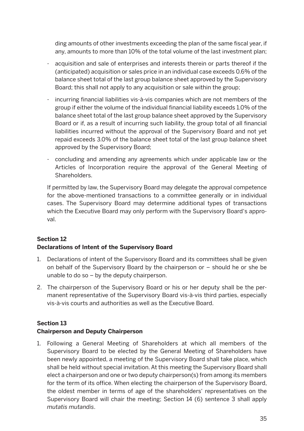ding amounts of other investments exceeding the plan of the same fiscal year, if any, amounts to more than 10% of the total volume of the last investment plan;

- acquisition and sale of enterprises and interests therein or parts thereof if the (anticipated) acquisition or sales price in an individual case exceeds 0.6% of the balance sheet total of the last group balance sheet approved by the Supervisory Board; this shall not apply to any acquisition or sale within the group;
- incurring financial liabilities vis-à-vis companies which are not members of the group if either the volume of the individual financial liability exceeds 1.0% of the balance sheet total of the last group balance sheet approved by the Supervisory Board or if, as a result of incurring such liability, the group total of all financial liabilities incurred without the approval of the Supervisory Board and not yet repaid exceeds 3.0% of the balance sheet total of the last group balance sheet approved by the Supervisory Board;
- concluding and amending any agreements which under applicable law or the Articles of Incorporation require the approval of the General Meeting of **Shareholders**

 If permitted by law, the Supervisory Board may delegate the approval competence for the above-mentioned transactions to a committee generally or in individual cases. The Supervisory Board may determine additional types of transactions which the Executive Board may only perform with the Supervisory Board's approval.

#### **Section 12 Declarations of Intent of the Supervisory Board**

- 1. Declarations of intent of the Supervisory Board and its committees shall be given on behalf of the Supervisory Board by the chairperson or – should he or she be unable to do so – by the deputy chairperson.
- 2. The chairperson of the Supervisory Board or his or her deputy shall be the permanent representative of the Supervisory Board vis-à-vis third parties, especially vis-à-vis courts and authorities as well as the Executive Board.

#### **Section 13**

#### **Chairperson and Deputy Chairperson**

1. Following a General Meeting of Shareholders at which all members of the Supervisory Board to be elected by the General Meeting of Shareholders have been newly appointed, a meeting of the Supervisory Board shall take place, which shall be held without special invitation. At this meeting the Supervisory Board shall elect a chairperson and one or two deputy chairperson(s) from among its members for the term of its office. When electing the chairperson of the Supervisory Board, the oldest member in terms of age of the shareholders' representatives on the Supervisory Board will chair the meeting; Section 14 (6) sentence 3 shall apply *mutatis mutandis*.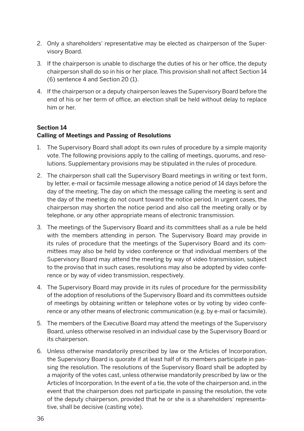- 2. Only a shareholders' representative may be elected as chairperson of the Supervisory Board.
- 3. If the chairperson is unable to discharge the duties of his or her office, the deputy chairperson shall do so in his or her place. This provision shall not affect Section 14 (6) sentence 4 and Section 20 (1).
- 4. If the chairperson or a deputy chairperson leaves the Supervisory Board before the end of his or her term of office, an election shall be held without delay to replace him or her.

#### **Section 14 Calling of Meetings and Passing of Resolutions**

- 1. The Supervisory Board shall adopt its own rules of procedure by a simple majority vote. The following provisions apply to the calling of meetings, quorums, and resolutions. Supplementary provisions may be stipulated in the rules of procedure.
- 2. The chairperson shall call the Supervisory Board meetings in writing or text form, by letter, e-mail or facsimile message allowing a notice period of 14 days before the day of the meeting. The day on which the message calling the meeting is sent and the day of the meeting do not count toward the notice period. In urgent cases, the chairperson may shorten the notice period and also call the meeting orally or by telephone, or any other appropriate means of electronic transmission.
- 3. The meetings of the Supervisory Board and its committees shall as a rule be held with the members attending in person. The Supervisory Board may provide in its rules of procedure that the meetings of the Supervisory Board and its committees may also be held by video conference or that individual members of the Supervisory Board may attend the meeting by way of video transmission, subject to the proviso that in such cases, resolutions may also be adopted by video conference or by way of video transmission, respectively.
- 4. The Supervisory Board may provide in its rules of procedure for the permissibility of the adoption of resolutions of the Supervisory Board and its committees outside of meetings by obtaining written or telephone votes or by voting by video conference or any other means of electronic communication (e.g. by e-mail or facsimile).
- 5. The members of the Executive Board may attend the meetings of the Supervisory Board, unless otherwise resolved in an individual case by the Supervisory Board or its chairperson.
- 6. Unless otherwise mandatorily prescribed by law or the Articles of Incorporation, the Supervisory Board is quorate if at least half of its members participate in passing the resolution. The resolutions of the Supervisory Board shall be adopted by a majority of the votes cast, unless otherwise mandatorily prescribed by law or the Articles of Incorporation. In the event of a tie, the vote of the chairperson and, in the event that the chairperson does not participate in passing the resolution, the vote of the deputy chairperson, provided that he or she is a shareholders' representative, shall be decisive (casting vote).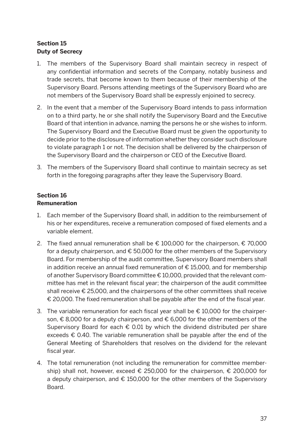#### **Section 15 Duty of Secrecy**

- 1. The members of the Supervisory Board shall maintain secrecy in respect of any confidential information and secrets of the Company, notably business and trade secrets, that become known to them because of their membership of the Supervisory Board. Persons attending meetings of the Supervisory Board who are not members of the Supervisory Board shall be expressly enjoined to secrecy.
- 2. In the event that a member of the Supervisory Board intends to pass information on to a third party, he or she shall notify the Supervisory Board and the Executive Board of that intention in advance, naming the persons he or she wishes to inform. The Supervisory Board and the Executive Board must be given the opportunity to decide prior to the disclosure of information whether they consider such disclosure to violate paragraph 1 or not. The decision shall be delivered by the chairperson of the Supervisory Board and the chairperson or CEO of the Executive Board.
- 3. The members of the Supervisory Board shall continue to maintain secrecy as set forth in the foregoing paragraphs after they leave the Supervisory Board.

#### **Section 16 Remuneration**

- 1. Each member of the Supervisory Board shall, in addition to the reimbursement of his or her expenditures, receive a remuneration composed of fixed elements and a variable element.
- 2. The fixed annual remuneration shall be € 100,000 for the chairperson, € 70,000 for a deputy chairperson, and  $\epsilon$  50,000 for the other members of the Supervisory Board. For membership of the audit committee, Supervisory Board members shall in addition receive an annual fixed remuneration of  $\epsilon$  15,000, and for membership of another Supervisory Board committee € 10,000, provided that the relevant committee has met in the relevant fiscal year; the chairperson of the audit committee shall receive € 25,000, and the chairpersons of the other committees shall receive € 20,000. The fixed remuneration shall be payable after the end of the fiscal year.
- 3. The variable remuneration for each fiscal year shall be € 10,000 for the chairperson, € 8,000 for a deputy chairperson, and € 6,000 for the other members of the Supervisory Board for each  $\epsilon$  0.01 by which the dividend distributed per share exceeds € 0.40. The variable remuneration shall be payable after the end of the General Meeting of Shareholders that resolves on the dividend for the relevant fiscal year.
- 4. The total remuneration (not including the remuneration for committee membership) shall not, however, exceed € 250,000 for the chairperson, € 200,000 for a deputy chairperson, and  $\epsilon$  150,000 for the other members of the Supervisory Board.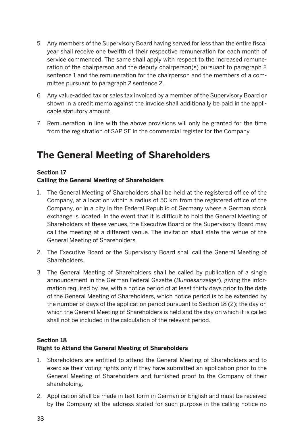- 5. Any members of the Supervisory Board having served for less than the entire fiscal year shall receive one twelfth of their respective remuneration for each month of service commenced. The same shall apply with respect to the increased remuneration of the chairperson and the deputy chairperson(s) pursuant to paragraph 2 sentence 1 and the remuneration for the chairperson and the members of a committee pursuant to paragraph 2 sentence 2.
- 6. Any value-added tax or sales tax invoiced by a member of the Supervisory Board or shown in a credit memo against the invoice shall additionally be paid in the applicable statutory amount.
- 7. Remuneration in line with the above provisions will only be granted for the time from the registration of SAP SE in the commercial register for the Company.

### **The General Meeting of Shareholders**

#### **Section 17**

#### **Calling the General Meeting of Shareholders**

- 1. The General Meeting of Shareholders shall be held at the registered office of the Company, at a location within a radius of 50 km from the registered office of the Company, or in a city in the Federal Republic of Germany where a German stock exchange is located. In the event that it is difficult to hold the General Meeting of Shareholders at these venues, the Executive Board or the Supervisory Board may call the meeting at a different venue. The invitation shall state the venue of the General Meeting of Shareholders.
- 2. The Executive Board or the Supervisory Board shall call the General Meeting of Shareholders.
- 3. The General Meeting of Shareholders shall be called by publication of a single announcement in the German Federal Gazette (*Bundesanzeiger*), giving the information required by law, with a notice period of at least thirty days prior to the date of the General Meeting of Shareholders, which notice period is to be extended by the number of days of the application period pursuant to Section 18 (2); the day on which the General Meeting of Shareholders is held and the day on which it is called shall not be included in the calculation of the relevant period.

#### **Section 18**

#### **Right to Attend the General Meeting of Shareholders**

- 1. Shareholders are entitled to attend the General Meeting of Shareholders and to exercise their voting rights only if they have submitted an application prior to the General Meeting of Shareholders and furnished proof to the Company of their shareholding.
- 2. Application shall be made in text form in German or English and must be received by the Company at the address stated for such purpose in the calling notice no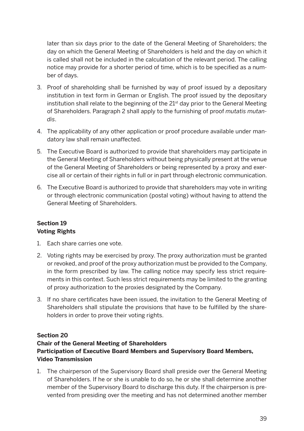later than six days prior to the date of the General Meeting of Shareholders; the day on which the General Meeting of Shareholders is held and the day on which it is called shall not be included in the calculation of the relevant period. The calling notice may provide for a shorter period of time, which is to be specified as a number of days.

- 3. Proof of shareholding shall be furnished by way of proof issued by a depositary institution in text form in German or English. The proof issued by the depositary institution shall relate to the beginning of the 21st day prior to the General Meeting of Shareholders. Paragraph 2 shall apply to the furnishing of proof *mutatis mutandis*.
- 4. The applicability of any other application or proof procedure available under mandatory law shall remain unaffected.
- 5. The Executive Board is authorized to provide that shareholders may participate in the General Meeting of Shareholders without being physically present at the venue of the General Meeting of Shareholders or being represented by a proxy and exercise all or certain of their rights in full or in part through electronic communication.
- 6. The Executive Board is authorized to provide that shareholders may vote in writing or through electronic communication (postal voting) without having to attend the General Meeting of Shareholders.

#### **Section 19 Voting Rights**

- 1. Each share carries one vote.
- 2. Voting rights may be exercised by proxy. The proxy authorization must be granted or revoked, and proof of the proxy authorization must be provided to the Company, in the form prescribed by law. The calling notice may specify less strict requirements in this context. Such less strict requirements may be limited to the granting of proxy authorization to the proxies designated by the Company.
- 3. If no share certificates have been issued, the invitation to the General Meeting of Shareholders shall stipulate the provisions that have to be fulfilled by the shareholders in order to prove their voting rights.

#### **Section 20**

#### **Chair of the General Meeting of Shareholders Participation of Executive Board Members and Supervisory Board Members, Video Transmission**

1. The chairperson of the Supervisory Board shall preside over the General Meeting of Shareholders. If he or she is unable to do so, he or she shall determine another member of the Supervisory Board to discharge this duty. If the chairperson is prevented from presiding over the meeting and has not determined another member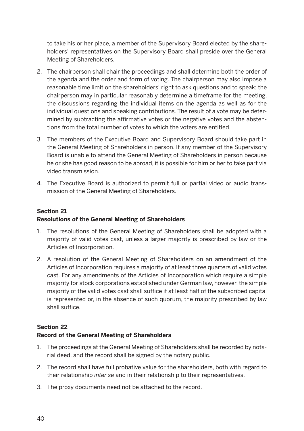to take his or her place, a member of the Supervisory Board elected by the shareholders' representatives on the Supervisory Board shall preside over the General Meeting of Shareholders.

- 2. The chairperson shall chair the proceedings and shall determine both the order of the agenda and the order and form of voting. The chairperson may also impose a reasonable time limit on the shareholders' right to ask questions and to speak; the chairperson may in particular reasonably determine a timeframe for the meeting, the discussions regarding the individual items on the agenda as well as for the individual questions and speaking contributions. The result of a vote may be determined by subtracting the affirmative votes or the negative votes and the abstentions from the total number of votes to which the voters are entitled.
- 3. The members of the Executive Board and Supervisory Board should take part in the General Meeting of Shareholders in person. If any member of the Supervisory Board is unable to attend the General Meeting of Shareholders in person because he or she has good reason to be abroad, it is possible for him or her to take part via video transmission.
- 4. The Executive Board is authorized to permit full or partial video or audio transmission of the General Meeting of Shareholders.

#### **Section 21 Resolutions of the General Meeting of Shareholders**

- 1. The resolutions of the General Meeting of Shareholders shall be adopted with a majority of valid votes cast, unless a larger majority is prescribed by law or the Articles of Incorporation.
- 2. A resolution of the General Meeting of Shareholders on an amendment of the Articles of Incorporation requires a majority of at least three quarters of valid votes cast. For any amendments of the Articles of Incorporation which require a simple majority for stock corporations established under German law, however, the simple majority of the valid votes cast shall suffice if at least half of the subscribed capital is represented or, in the absence of such quorum, the majority prescribed by law shall suffice.

#### **Section 22**

#### **Record of the General Meeting of Shareholders**

- 1. The proceedings at the General Meeting of Shareholders shall be recorded by notarial deed, and the record shall be signed by the notary public.
- 2. The record shall have full probative value for the shareholders, both with regard to their relationship *inter se* and in their relationship to their representatives.
- 3. The proxy documents need not be attached to the record.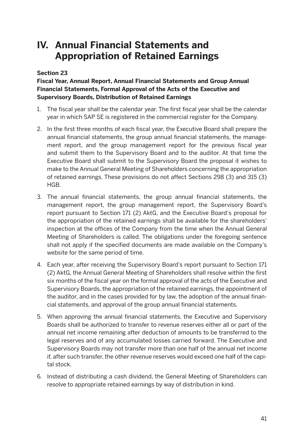### **IV. Annual Financial Statements and Appropriation of Retained Earnings**

#### **Section 23**

#### **Fiscal Year, Annual Report, Annual Financial Statements and Group Annual Financial Statements, Formal Approval of the Acts of the Executive and Supervisory Boards, Distribution of Retained Earnings**

- 1. The fiscal year shall be the calendar year. The first fiscal year shall be the calendar year in which SAP SE is registered in the commercial register for the Company.
- 2. In the first three months of each fiscal year, the Executive Board shall prepare the annual financial statements, the group annual financial statements, the management report, and the group management report for the previous fiscal year and submit them to the Supervisory Board and to the auditor. At that time the Executive Board shall submit to the Supervisory Board the proposal it wishes to make to the Annual General Meeting of Shareholders concerning the appropriation of retained earnings. These provisions do not affect Sections 298 (3) and 315 (3) HGB.
- 3. The annual financial statements, the group annual financial statements, the management report, the group management report, the Supervisory Board's report pursuant to Section 171 (2) AktG, and the Executive Board's proposal for the appropriation of the retained earnings shall be available for the shareholders' inspection at the offices of the Company from the time when the Annual General Meeting of Shareholders is called. The obligations under the foregoing sentence shall not apply if the specified documents are made available on the Company's website for the same period of time.
- 4. Each year, after receiving the Supervisory Board's report pursuant to Section 171 (2) AktG, the Annual General Meeting of Shareholders shall resolve within the first six months of the fiscal year on the formal approval of the acts of the Executive and Supervisory Boards, the appropriation of the retained earnings, the appointment of the auditor, and in the cases provided for by law, the adoption of the annual financial statements, and approval of the group annual financial statements.
- 5. When approving the annual financial statements, the Executive and Supervisory Boards shall be authorized to transfer to revenue reserves either all or part of the annual net income remaining after deduction of amounts to be transferred to the legal reserves and of any accumulated losses carried forward. The Executive and Supervisory Boards may not transfer more than one half of the annual net income if, after such transfer, the other revenue reserves would exceed one half of the capital stock.
- 6. Instead of distributing a cash dividend, the General Meeting of Shareholders can resolve to appropriate retained earnings by way of distribution in kind.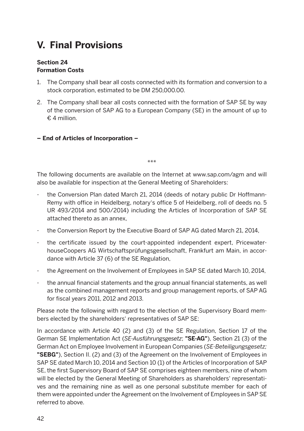### **V. Final Provisions**

#### **Section 24 Formation Costs**

- 1. The Company shall bear all costs connected with its formation and conversion to a stock corporation, estimated to be DM 250,000.00.
- 2. The Company shall bear all costs connected with the formation of SAP SE by way of the conversion of SAP AG to a European Company (SE) in the amount of up to  $£ A$  million
- **End of Articles of Incorporation –**

\*\*\*

The following documents are available on the Internet at www.sap.com/agm and will also be available for inspection at the General Meeting of Shareholders:

- the Conversion Plan dated March 21, 2014 (deeds of notary public Dr Hoffmann-Remy with office in Heidelberg, notary's office 5 of Heidelberg, roll of deeds no. 5 UR 493/2014 and 500/2014) including the Articles of Incorporation of SAP SE attached thereto as an annex,
- the Conversion Report by the Executive Board of SAP AG dated March 21, 2014,
- the certificate issued by the court-appointed independent expert, PricewaterhouseCoopers AG Wirtschaftsprüfungsgesellschaft, Frankfurt am Main, in accordance with Article 37 (6) of the SE Regulation,
- the Agreement on the Involvement of Employees in SAP SE dated March 10, 2014,
- the annual financial statements and the group annual financial statements, as well as the combined management reports and group management reports, of SAP AG for fiscal years 2011, 2012 and 2013.

Please note the following with regard to the election of the Supervisory Board members elected by the shareholders' representatives of SAP SE:

In accordance with Article 40 (2) and (3) of the SE Regulation, Section 17 of the German SE Implementation Act (*SE-Ausführungsgesetz*; **"SE-AG"**), Section 21 (3) of the German Act on Employee Involvement in European Companies (*SE-Beteiligungsgesetz;*  **"SEBG"**), Section II. (2) and (3) of the Agreement on the Involvement of Employees in SAP SE dated March 10, 2014 and Section 10 (1) of the Articles of Incorporation of SAP SE, the first Supervisory Board of SAP SE comprises eighteen members, nine of whom will be elected by the General Meeting of Shareholders as shareholders' representatives and the remaining nine as well as one personal substitute member for each of them were appointed under the Agreement on the Involvement of Employees in SAP SE referred to above.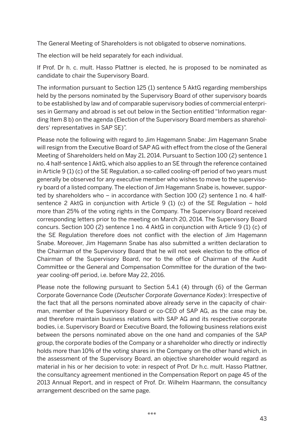The General Meeting of Shareholders is not obligated to observe nominations.

The election will be held separately for each individual.

If Prof. Dr h. c. mult. Hasso Plattner is elected, he is proposed to be nominated as candidate to chair the Supervisory Board.

The information pursuant to Section 125 (1) sentence 5 AktG regarding memberships held by the persons nominated by the Supervisory Board of other supervisory boards to be established by law and of comparable supervisory bodies of commercial enterprises in Germany and abroad is set out below in the Section entitled "Information regarding Item 8 b) on the agenda (Election of the Supervisory Board members as shareholders' representatives in SAP SE)".

Please note the following with regard to Jim Hagemann Snabe: Jim Hagemann Snabe will resign from the Executive Board of SAP AG with effect from the close of the General Meeting of Shareholders held on May 21, 2014. Pursuant to Section 100 (2) sentence 1 no. 4 half-sentence 1 AktG, which also applies to an SE through the reference contained in Article 9 (1) (c) of the SE Regulation, a so-called cooling-off period of two years must generally be observed for any executive member who wishes to move to the supervisory board of a listed company. The election of Jim Hagemann Snabe is, however, supported by shareholders who – in accordance with Section 100 (2) sentence 1 no. 4 halfsentence 2 AktG in conjunction with Article 9 (1) (c) of the SE Regulation – hold more than 25% of the voting rights in the Company. The Supervisory Board received corresponding letters prior to the meeting on March 20, 2014. The Supervisory Board concurs. Section 100 (2) sentence 1 no. 4 AktG in conjunction with Article 9 (1) (c) of the SE Regulation therefore does not conflict with the election of Jim Hagemann Snabe. Moreover, Jim Hagemann Snabe has also submitted a written declaration to the Chairman of the Supervisory Board that he will not seek election to the office of Chairman of the Supervisory Board, nor to the office of Chairman of the Audit Committee or the General and Compensation Committee for the duration of the twoyear cooling-off period, i.e. before May 22, 2016.

Please note the following pursuant to Section 5.4.1 (4) through (6) of the German Corporate Governance Code (*Deutscher Corporate Governance Kodex*): Irrespective of the fact that all the persons nominated above already serve in the capacity of chairman, member of the Supervisory Board or co-CEO of SAP AG, as the case may be, and therefore maintain business relations with SAP AG and its respective corporate bodies, i.e. Supervisory Board or Executive Board, the following business relations exist between the persons nominated above on the one hand and companies of the SAP group, the corporate bodies of the Company or a shareholder who directly or indirectly holds more than 10% of the voting shares in the Company on the other hand which, in the assessment of the Supervisory Board, an objective shareholder would regard as material in his or her decision to vote: in respect of Prof. Dr h.c. mult. Hasso Plattner, the consultancy agreement mentioned in the Compensation Report on page 45 of the 2013 Annual Report, and in respect of Prof. Dr. Wilhelm Haarmann, the consultancy arrangement described on the same page.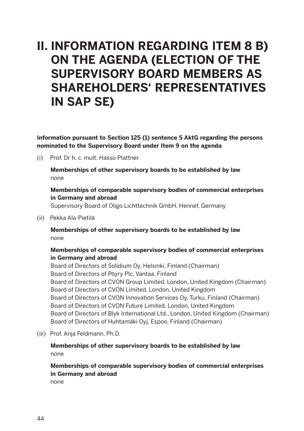## **II. INFORMATION REGARDING ITEM 8 B) ON THE AGENDA (ELECTION OF THE SUPERVISORY BOARD MEMBERS AS SHAREHOLDERS' REPRESENTATIVES IN SAP SE)**

**Information pursuant to Section 125 (1) sentence 5 AktG regarding the persons nominated to the Supervisory Board under Item 9 on the agenda**

(i) Prof. Dr h. c. mult. Hasso Plattner

 **Memberships of other supervisory boards to be established by law**  none

#### **Memberships of comparable supervisory bodies of commercial enterprises in Germany and abroad**

Supervisory Board of Oligo Lichttechnik GmbH, Hennef, Germany

(ii) Pekka Ala-Pietilä

 **Memberships of other supervisory boards to be established by law**  none

#### **Memberships of comparable supervisory bodies of commercial enterprises in Germany and abroad**

Board of Directors of Solidium Oy, Helsinki, Finland (Chairman) Board of Directors of Pöyry Plc, Vantaa, Finland Board of Directors of CVON Group Limited, London, United Kingdom (Chairman) Board of Directors of CVON Limited, London, United Kingdom Board of Directors of CVON Innovation Services Oy, Turku, Finland (Chairman) Board of Directors of CVON Future Limited, London, United Kingdom Board of Directors of Blyk International Ltd., London, United Kingdom (Chairman) Board of Directors of Huhtamäki Oyj, Espoo, Finland (Chairman)

(iii) Prof. Anja Feldmann, Ph.D.

#### **Memberships of other supervisory boards to be established by law**  none

 **Memberships of comparable supervisory bodies of commercial enterprises in Germany and abroad**

none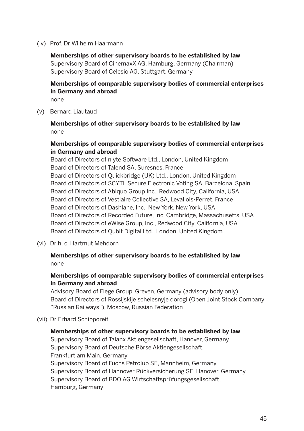(iv) Prof. Dr Wilhelm Haarmann

 **Memberships of other supervisory boards to be established by law**  Supervisory Board of CinemaxX AG, Hamburg, Germany (Chairman) Supervisory Board of Celesio AG, Stuttgart, Germany

 **Memberships of comparable supervisory bodies of commercial enterprises in Germany and abroad**

none

(v) Bernard Liautaud

 **Memberships of other supervisory boards to be established by law**  none

#### **Memberships of comparable supervisory bodies of commercial enterprises in Germany and abroad**

Board of Directors of nlyte Software Ltd., London, United Kingdom Board of Directors of Talend SA, Suresnes, France Board of Directors of Quickbridge (UK) Ltd., London, United Kingdom Board of Directors of SCYTL Secure Electronic Voting SA, Barcelona, Spain Board of Directors of Abiquo Group Inc., Redwood City, California, USA Board of Directors of Vestiaire Collective SA, Levallois-Perret, France Board of Directors of Dashlane, Inc., New York, New York, USA Board of Directors of Recorded Future, Inc, Cambridge, Massachusetts, USA Board of Directors of eWise Group, Inc., Redwood City, California, USA Board of Directors of Qubit Digital Ltd., London, United Kingdom

(vi) Dr h. c. Hartmut Mehdorn

#### **Memberships of other supervisory boards to be established by law**  none

#### **Memberships of comparable supervisory bodies of commercial enterprises in Germany and abroad**

Advisory Board of Fiege Group, Greven, Germany (advisory body only) Board of Directors of Rossijskije schelesnyje dorogi (Open Joint Stock Company "Russian Railways"), Moscow, Russian Federation

(vii) Dr Erhard Schipporeit

#### **Memberships of other supervisory boards to be established by law**

Supervisory Board of Talanx Aktiengesellschaft, Hanover, Germany Supervisory Board of Deutsche Börse Aktiengesellschaft, Frankfurt am Main, Germany Supervisory Board of Fuchs Petrolub SE, Mannheim, Germany Supervisory Board of Hannover Rückversicherung SE, Hanover, Germany Supervisory Board of BDO AG Wirtschaftsprüfungsgesellschaft, Hamburg, Germany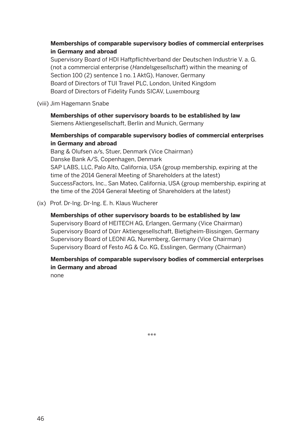#### **Memberships of comparable supervisory bodies of commercial enterprises in Germany and abroad**

Supervisory Board of HDI Haftpflichtverband der Deutschen Industrie V. a. G. (not a commercial enterprise (*Handelsgesellschaft*) within the meaning of Section 100 (2) sentence 1 no. 1 AktG), Hanover, Germany Board of Directors of TUI Travel PLC, London, United Kingdom Board of Directors of Fidelity Funds SICAV, Luxembourg

#### (viii) Jim Hagemann Snabe

 **Memberships of other supervisory boards to be established by law**  Siemens Aktiengesellschaft, Berlin and Munich, Germany

#### **Memberships of comparable supervisory bodies of commercial enterprises in Germany and abroad**

Bang & Olufsen a/s, Stuer, Denmark (Vice Chairman) Danske Bank A/S, Copenhagen, Denmark SAP LABS, LLC, Palo Alto, California, USA (group membership, expiring at the time of the 2014 General Meeting of Shareholders at the latest) SuccessFactors, Inc., San Mateo, California, USA (group membership, expiring at the time of the 2014 General Meeting of Shareholders at the latest)

(ix) Prof. Dr-Ing. Dr-Ing. E. h. Klaus Wucherer

#### **Memberships of other supervisory boards to be established by law**

Supervisory Board of HEITECH AG, Erlangen, Germany (Vice Chairman) Supervisory Board of Dürr Aktiengesellschaft, Bietigheim-Bissingen, Germany Supervisory Board of LEONI AG, Nuremberg, Germany (Vice Chairman) Supervisory Board of Festo AG & Co. KG, Esslingen, Germany (Chairman)

#### **Memberships of comparable supervisory bodies of commercial enterprises in Germany and abroad**

none

\*\*\*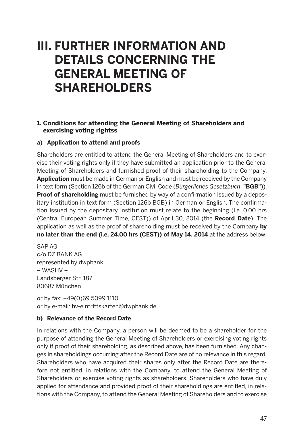## **III. FURTHER INFORMATION AND DETAILS CONCERNING THE GENERAL MEETING OF SHAREHOLDERS**

#### **1. Conditions for attending the General Meeting of Shareholders and exercising voting rightss**

#### **a) Application to attend and proofs**

Shareholders are entitled to attend the General Meeting of Shareholders and to exercise their voting rights only if they have submitted an application prior to the General Meeting of Shareholders and furnished proof of their shareholding to the Company. **Application** must be made in German or English and must be received by the Company in text form (Section 126b of the German Civil Code (*Bürgerliches Gesetzbuch*; **"BGB"**)). **Proof of shareholding** must be furnished by way of a confirmation issued by a depositary institution in text form (Section 126b BGB) in German or English. The confirmation issued by the depositary institution must relate to the beginning (i.e. 0.00 hrs (Central European Summer Time, CEST)) of April 30, 2014 (the **Record Date**). The application as well as the proof of shareholding must be received by the Company **by no later than the end (i.e. 24.00 hrs (CEST)) of May 14, 2014** at the address below:

SAP AG c/o DZ BANK AG represented by dwpbank – WASHV – Landsberger Str. 187 80687 München

or by fax: +49(0)69 5099 1110 or by e-mail: hv-eintrittskarten@dwpbank.de

#### **b) Relevance of the Record Date**

In relations with the Company, a person will be deemed to be a shareholder for the purpose of attending the General Meeting of Shareholders or exercising voting rights only if proof of their shareholding, as described above, has been furnished. Any changes in shareholdings occurring after the Record Date are of no relevance in this regard. Shareholders who have acquired their shares only after the Record Date are therefore not entitled, in relations with the Company, to attend the General Meeting of Shareholders or exercise voting rights as shareholders. Shareholders who have duly applied for attendance and provided proof of their shareholdings are entitled, in relations with the Company, to attend the General Meeting of Shareholders and to exercise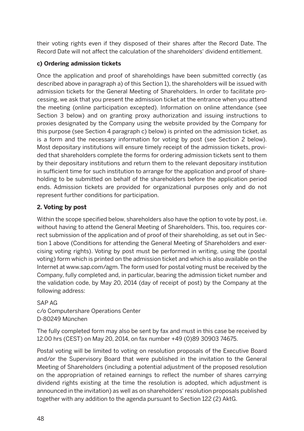their voting rights even if they disposed of their shares after the Record Date. The Record Date will not affect the calculation of the shareholders' dividend entitlement.

#### **c) Ordering admission tickets**

Once the application and proof of shareholdings have been submitted correctly (as described above in paragraph a) of this Section 1), the shareholders will be issued with admission tickets for the General Meeting of Shareholders. In order to facilitate processing, we ask that you present the admission ticket at the entrance when you attend the meeting (online participation excepted). Information on online attendance (see Section 3 below) and on granting proxy authorization and issuing instructions to proxies designated by the Company using the website provided by the Company for this purpose (see Section 4 paragraph c) below) is printed on the admission ticket, as is a form and the necessary information for voting by post (see Section 2 below). Most depositary institutions will ensure timely receipt of the admission tickets, provided that shareholders complete the forms for ordering admission tickets sent to them by their depositary institutions and return them to the relevant depositary institution in sufficient time for such institution to arrange for the application and proof of shareholding to be submitted on behalf of the shareholders before the application period ends. Admission tickets are provided for organizational purposes only and do not represent further conditions for participation.

#### **2. Voting by post**

Within the scope specified below, shareholders also have the option to vote by post, i.e. without having to attend the General Meeting of Shareholders. This, too, requires correct submission of the application and of proof of their shareholding, as set out in Section 1 above (Conditions for attending the General Meeting of Shareholders and exercising voting rights). Voting by post must be performed in writing, using the (postal voting) form which is printed on the admission ticket and which is also available on the Internet at www.sap.com/agm. The form used for postal voting must be received by the Company, fully completed and, in particular, bearing the admission ticket number and the validation code, by May 20, 2014 (day of receipt of post) by the Company at the following address:

SAP AG c/o Computershare Operations Center D-80249 München

The fully completed form may also be sent by fax and must in this case be received by 12.00 hrs (CEST) on May 20, 2014, on fax number +49 (0)89 30903 74675.

Postal voting will be limited to voting on resolution proposals of the Executive Board and/or the Supervisory Board that were published in the invitation to the General Meeting of Shareholders (including a potential adjustment of the proposed resolution on the appropriation of retained earnings to reflect the number of shares carrying dividend rights existing at the time the resolution is adopted, which adjustment is announced in the invitation) as well as on shareholders' resolution proposals published together with any addition to the agenda pursuant to Section 122 (2) AktG.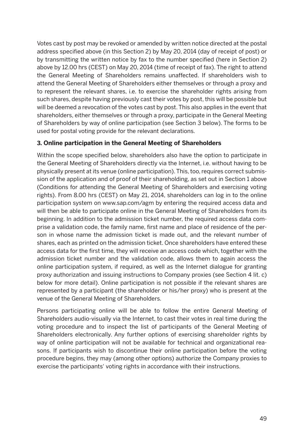Votes cast by post may be revoked or amended by written notice directed at the postal address specified above (in this Section 2) by May 20, 2014 (day of receipt of post) or by transmitting the written notice by fax to the number specified (here in Section 2) above by 12.00 hrs (CEST) on May 20, 2014 (time of receipt of fax). The right to attend the General Meeting of Shareholders remains unaffected. If shareholders wish to attend the General Meeting of Shareholders either themselves or through a proxy and to represent the relevant shares, i.e. to exercise the shareholder rights arising from such shares, despite having previously cast their votes by post, this will be possible but will be deemed a revocation of the votes cast by post. This also applies in the event that shareholders, either themselves or through a proxy, participate in the General Meeting of Shareholders by way of online participation (see Section 3 below). The forms to be used for postal voting provide for the relevant declarations.

#### **3. Online participation in the General Meeting of Shareholders**

Within the scope specified below, shareholders also have the option to participate in the General Meeting of Shareholders directly via the Internet, i.e. without having to be physically present at its venue (online participation). This, too, requires correct submission of the application and of proof of their shareholding, as set out in Section 1 above (Conditions for attending the General Meeting of Shareholders and exercising voting rights). From 8.00 hrs (CEST) on May 21, 2014, shareholders can log in to the online participation system on www.sap.com/agm by entering the required access data and will then be able to participate online in the General Meeting of Shareholders from its beginning. In addition to the admission ticket number, the required access data comprise a validation code, the family name, first name and place of residence of the person in whose name the admission ticket is made out, and the relevant number of shares, each as printed on the admission ticket. Once shareholders have entered these access data for the first time, they will receive an access code which, together with the admission ticket number and the validation code, allows them to again access the online participation system, if required, as well as the Internet dialogue for granting proxy authorization and issuing instructions to Company proxies (see Section 4 lit. c) below for more detail). Online participation is not possible if the relevant shares are represented by a participant (the shareholder or his/her proxy) who is present at the venue of the General Meeting of Shareholders.

Persons participating online will be able to follow the entire General Meeting of Shareholders audio-visually via the Internet, to cast their votes in real time during the voting procedure and to inspect the list of participants of the General Meeting of Shareholders electronically. Any further options of exercising shareholder rights by way of online participation will not be available for technical and organizational reasons. If participants wish to discontinue their online participation before the voting procedure begins, they may (among other options) authorize the Company proxies to exercise the participants' voting rights in accordance with their instructions.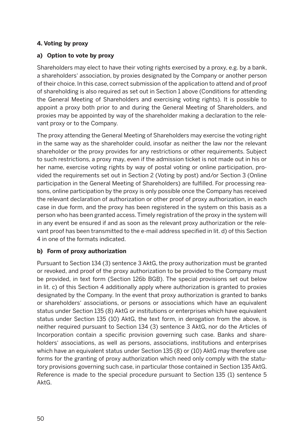#### **4. Voting by proxy**

#### **a) Option to vote by proxy**

Shareholders may elect to have their voting rights exercised by a proxy, e.g. by a bank, a shareholders' association, by proxies designated by the Company or another person of their choice. In this case, correct submission of the application to attend and of proof of shareholding is also required as set out in Section 1 above (Conditions for attending the General Meeting of Shareholders and exercising voting rights). It is possible to appoint a proxy both prior to and during the General Meeting of Shareholders, and proxies may be appointed by way of the shareholder making a declaration to the relevant proxy or to the Company.

The proxy attending the General Meeting of Shareholders may exercise the voting right in the same way as the shareholder could, insofar as neither the law nor the relevant shareholder or the proxy provides for any restrictions or other requirements. Subject to such restrictions, a proxy may, even if the admission ticket is not made out in his or her name, exercise voting rights by way of postal voting or online participation, provided the requirements set out in Section 2 (Voting by post) and/or Section 3 (Online participation in the General Meeting of Shareholders) are fulfilled. For processing reasons, online participation by the proxy is only possible once the Company has received the relevant declaration of authorization or other proof of proxy authorization, in each case in due form, and the proxy has been registered in the system on this basis as a person who has been granted access. Timely registration of the proxy in the system will in any event be ensured if and as soon as the relevant proxy authorization or the relevant proof has been transmitted to the e-mail address specified in lit. d) of this Section 4 in one of the formats indicated.

#### **b) Form of proxy authorization**

Pursuant to Section 134 (3) sentence 3 AktG, the proxy authorization must be granted or revoked, and proof of the proxy authorization to be provided to the Company must be provided, in text form (Section 126b BGB). The special provisions set out below in lit. c) of this Section 4 additionally apply where authorization is granted to proxies designated by the Company. In the event that proxy authorization is granted to banks or shareholders' associations, or persons or associations which have an equivalent status under Section 135 (8) AktG or institutions or enterprises which have equivalent status under Section 135 (10) AktG, the text form, in derogation from the above, is neither required pursuant to Section 134 (3) sentence 3 AktG, nor do the Articles of Incorporation contain a specific provision governing such case. Banks and shareholders' associations, as well as persons, associations, institutions and enterprises which have an equivalent status under Section 135 (8) or (10) AktG may therefore use forms for the granting of proxy authorization which need only comply with the statutory provisions governing such case, in particular those contained in Section 135 AktG. Reference is made to the special procedure pursuant to Section 135 (1) sentence 5 AktG.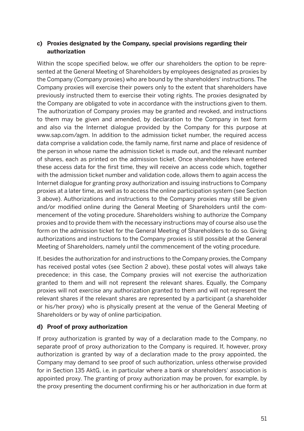#### **c) Proxies designated by the Company, special provisions regarding their authorization**

Within the scope specified below, we offer our shareholders the option to be represented at the General Meeting of Shareholders by employees designated as proxies by the Company (Company proxies) who are bound by the shareholders' instructions. The Company proxies will exercise their powers only to the extent that shareholders have previously instructed them to exercise their voting rights. The proxies designated by the Company are obligated to vote in accordance with the instructions given to them. The authorization of Company proxies may be granted and revoked, and instructions to them may be given and amended, by declaration to the Company in text form and also via the Internet dialogue provided by the Company for this purpose at www.sap.com/agm. In addition to the admission ticket number, the required access data comprise a validation code, the family name, first name and place of residence of the person in whose name the admission ticket is made out, and the relevant number of shares, each as printed on the admission ticket. Once shareholders have entered these access data for the first time, they will receive an access code which, together with the admission ticket number and validation code, allows them to again access the Internet dialogue for granting proxy authorization and issuing instructions to Company proxies at a later time, as well as to access the online participation system (see Section 3 above). Authorizations and instructions to the Company proxies may still be given and/or modified online during the General Meeting of Shareholders until the commencement of the voting procedure. Shareholders wishing to authorize the Company proxies and to provide them with the necessary instructions may of course also use the form on the admission ticket for the General Meeting of Shareholders to do so. Giving authorizations and instructions to the Company proxies is still possible at the General Meeting of Shareholders, namely until the commencement of the voting procedure.

If, besides the authorization for and instructions to the Company proxies, the Company has received postal votes (see Section 2 above), these postal votes will always take precedence; in this case, the Company proxies will not exercise the authorization granted to them and will not represent the relevant shares. Equally, the Company proxies will not exercise any authorization granted to them and will not represent the relevant shares if the relevant shares are represented by a participant (a shareholder or his/her proxy) who is physically present at the venue of the General Meeting of Shareholders or by way of online participation.

#### **d) Proof of proxy authorization**

If proxy authorization is granted by way of a declaration made to the Company, no separate proof of proxy authorization to the Company is required. If, however, proxy authorization is granted by way of a declaration made to the proxy appointed, the Company may demand to see proof of such authorization, unless otherwise provided for in Section 135 AktG, i.e. in particular where a bank or shareholders' association is appointed proxy. The granting of proxy authorization may be proven, for example, by the proxy presenting the document confirming his or her authorization in due form at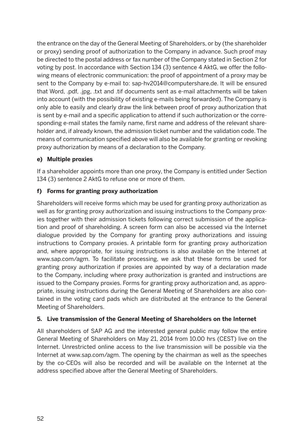the entrance on the day of the General Meeting of Shareholders, or by (the shareholder or proxy) sending proof of authorization to the Company in advance. Such proof may be directed to the postal address or fax number of the Company stated in Section 2 for voting by post. In accordance with Section 134 (3) sentence 4 AktG, we offer the following means of electronic communication: the proof of appointment of a proxy may be sent to the Company by e-mail to: sap-hv2014@computershare.de. It will be ensured that Word, .pdf, .jpg, .txt and .tif documents sent as e-mail attachments will be taken into account (with the possibility of existing e-mails being forwarded). The Company is only able to easily and clearly draw the link between proof of proxy authorization that is sent by e-mail and a specific application to attend if such authorization or the corresponding e-mail states the family name, first name and address of the relevant shareholder and, if already known, the admission ticket number and the validation code. The means of communication specified above will also be available for granting or revoking proxy authorization by means of a declaration to the Company.

#### **e) Multiple proxies**

If a shareholder appoints more than one proxy, the Company is entitled under Section 134 (3) sentence 2 AktG to refuse one or more of them.

#### **f) Forms for granting proxy authorization**

Shareholders will receive forms which may be used for granting proxy authorization as well as for granting proxy authorization and issuing instructions to the Company proxies together with their admission tickets following correct submission of the application and proof of shareholding. A screen form can also be accessed via the Internet dialogue provided by the Company for granting proxy authorizations and issuing instructions to Company proxies. A printable form for granting proxy authorization and, where appropriate, for issuing instructions is also available on the Internet at www.sap.com/agm. To facilitate processing, we ask that these forms be used for granting proxy authorization if proxies are appointed by way of a declaration made to the Company, including where proxy authorization is granted and instructions are issued to the Company proxies. Forms for granting proxy authorization and, as appropriate, issuing instructions during the General Meeting of Shareholders are also contained in the voting card pads which are distributed at the entrance to the General Meeting of Shareholders.

#### **5. Live transmission of the General Meeting of Shareholders on the Internet**

All shareholders of SAP AG and the interested general public may follow the entire General Meeting of Shareholders on May 21, 2014 from 10.00 hrs (CEST) live on the Internet. Unrestricted online access to the live transmission will be possible via the Internet at www.sap.com/agm. The opening by the chairman as well as the speeches by the co-CEOs will also be recorded and will be available on the Internet at the address specified above after the General Meeting of Shareholders.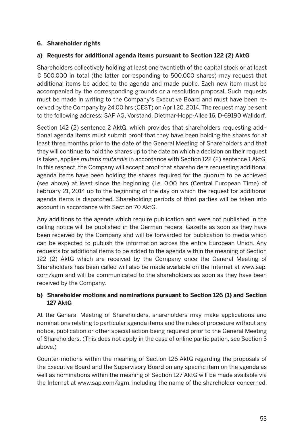#### **6. Shareholder rights**

#### **a) Requests for additional agenda items pursuant to Section 122 (2) AktG**

Shareholders collectively holding at least one twentieth of the capital stock or at least € 500,000 in total (the latter corresponding to 500,000 shares) may request that additional items be added to the agenda and made public. Each new item must be accompanied by the corresponding grounds or a resolution proposal. Such requests must be made in writing to the Company's Executive Board and must have been received by the Company by 24.00 hrs (CEST) on April 20, 2014. The request may be sent to the following address: SAP AG, Vorstand, Dietmar-Hopp-Allee 16, D-69190 Walldorf.

Section 142 (2) sentence 2 AktG, which provides that shareholders requesting additional agenda items must submit proof that they have been holding the shares for at least three months prior to the date of the General Meeting of Shareholders and that they will continue to hold the shares up to the date on which a decision on their request is taken, applies *mutatis mutandis* in accordance with Section 122 (2) sentence 1 AktG. In this respect, the Company will accept proof that shareholders requesting additional agenda items have been holding the shares required for the quorum to be achieved (see above) at least since the beginning (i.e. 0.00 hrs (Central European Time) of February 21, 2014 up to the beginning of the day on which the request for additional agenda items is dispatched. Shareholding periods of third parties will be taken into account in accordance with Section 70 AktG.

Any additions to the agenda which require publication and were not published in the calling notice will be published in the German Federal Gazette as soon as they have been received by the Company and will be forwarded for publication to media which can be expected to publish the information across the entire European Union. Any requests for additional items to be added to the agenda within the meaning of Section 122 (2) AktG which are received by the Company once the General Meeting of Shareholders has been called will also be made available on the Internet at www.sap. com/agm and will be communicated to the shareholders as soon as they have been received by the Company.

#### **b) Shareholder motions and nominations pursuant to Section 126 (1) and Section 127 AktG**

At the General Meeting of Shareholders, shareholders may make applications and nominations relating to particular agenda items and the rules of procedure without any notice, publication or other special action being required prior to the General Meeting of Shareholders. (This does not apply in the case of online participation, see Section 3 above.)

Counter-motions within the meaning of Section 126 AktG regarding the proposals of the Executive Board and the Supervisory Board on any specific item on the agenda as well as nominations within the meaning of Section 127 AktG will be made available via the Internet at www.sap.com/agm, including the name of the shareholder concerned,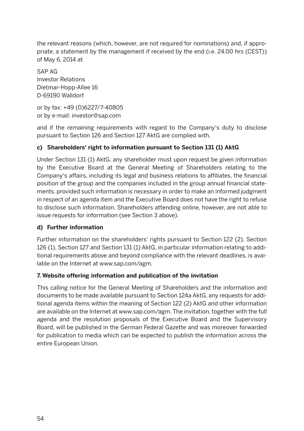the relevant reasons (which, however, are not required for nominations) and, if appropriate, a statement by the management if received by the end (i.e. 24.00 hrs (CEST)) of May 6, 2014 at

SAP AG Investor Relations Dietmar-Hopp-Allee 16 D-69190 Walldorf

or by fax: +49 (0)6227/7-40805 or by e-mail: investor@sap.com

and if the remaining requirements with regard to the Company's duty to disclose pursuant to Section 126 and Section 127 AktG are complied with.

#### **c) Shareholders' right to information pursuant to Section 131 (1) AktG**

Under Section 131 (1) AktG, any shareholder must upon request be given information by the Executive Board at the General Meeting of Shareholders relating to the Company's affairs, including its legal and business relations to affiliates, the financial position of the group and the companies included in the group annual financial statements, provided such information is necessary in order to make an informed judgment in respect of an agenda item and the Executive Board does not have the right to refuse to disclose such information. Shareholders attending online, however, are not able to issue requests for information (see Section 3 above).

#### **d) Further information**

Further information on the shareholders' rights pursuant to Section 122 (2), Section 126 (1), Section 127 and Section 131 (1) AktG, in particular information relating to additional requirements above and beyond compliance with the relevant deadlines, is available on the Internet at www.sap.com/agm.

#### **7. Website offering information and publication of the invitation**

This calling notice for the General Meeting of Shareholders and the information and documents to be made available pursuant to Section 124a AktG, any requests for additional agenda items within the meaning of Section 122 (2) AktG and other information are available on the Internet at www.sap.com/agm. The invitation, together with the full agenda and the resolution proposals of the Executive Board and the Supervisory Board, will be published in the German Federal Gazette and was moreover forwarded for publication to media which can be expected to publish the information across the entire European Union.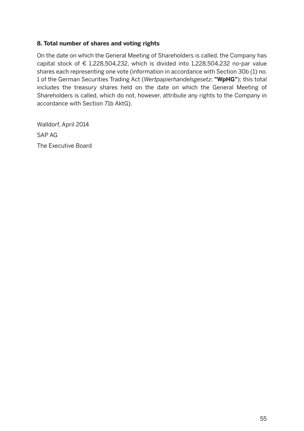#### **8. Total number of shares and voting rights**

On the date on which the General Meeting of Shareholders is called, the Company has capital stock of  $\epsilon$  1,228,504,232, which is divided into 1,228,504,232 no-par value shares each representing one vote (information in accordance with Section 30b (1) no. 1 of the German Securities Trading Act (*Wertpapierhandelsgesetz*; **"WpHG"**); this total includes the treasury shares held on the date on which the General Meeting of Shareholders is called, which do not, however, attribute any rights to the Company in accordance with Section 71b AktG).

Walldorf, April 2014 SAP AG The Executive Board